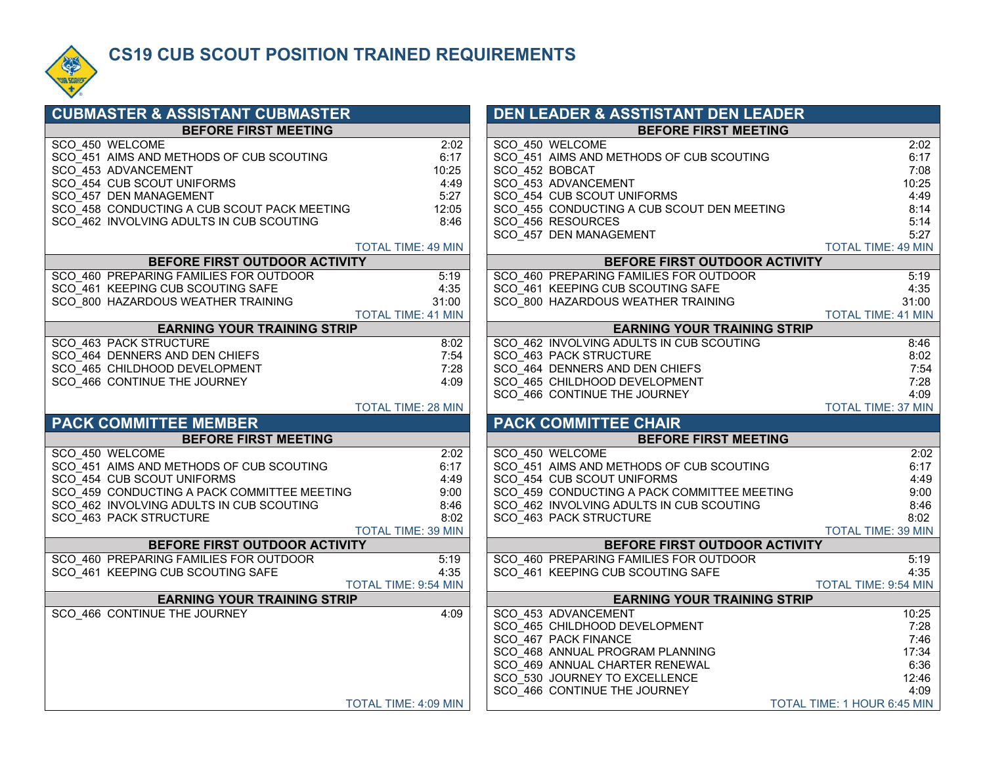

#### **CS19 CUB SCOUT POSITION TRAINED REQUIREMENTS**

| <b>CUBMASTER &amp; ASSISTANT CUBMASTER</b>  |                           | <b>DEN LEADER &amp; ASSTISTANT DEN LEADER</b>                           |                                                                                                                            |
|---------------------------------------------|---------------------------|-------------------------------------------------------------------------|----------------------------------------------------------------------------------------------------------------------------|
| <b>BEFORE FIRST MEETING</b>                 |                           | <b>BEFORE FIRST MEETING</b>                                             |                                                                                                                            |
| SCO 450 WELCOME                             | 2:02                      | SCO 450 WELCOME                                                         | 2:02                                                                                                                       |
| SCO_451 AIMS AND METHODS OF CUB SCOUTING    | 6:17                      | SCO 451 AIMS AND METHODS OF CUB SCOUTING                                | 6:17                                                                                                                       |
| SCO 453 ADVANCEMENT                         | 10:25                     | SCO 452 BOBCAT                                                          | 7:08                                                                                                                       |
| SCO_454 CUB SCOUT UNIFORMS                  | 4:49                      | SCO 453 ADVANCEMENT                                                     | 10:25                                                                                                                      |
| SCO 457 DEN MANAGEMENT                      | 5:27                      | SCO_454 CUB SCOUT UNIFORMS                                              | 4:49                                                                                                                       |
| SCO 458 CONDUCTING A CUB SCOUT PACK MEETING | 12:05                     | SCO 455 CONDUCTING A CUB SCOUT DEN MEETING                              | 8:14                                                                                                                       |
| SCO 462 INVOLVING ADULTS IN CUB SCOUTING    | 8:46                      | SCO 456 RESOURCES                                                       | 5:14                                                                                                                       |
|                                             |                           | SCO 457 DEN MANAGEMENT                                                  | 5:27                                                                                                                       |
| BEFORE FIRST OUTDOOR ACTIVITY               | <b>TOTAL TIME: 49 MIN</b> |                                                                         | <b>TOTAL TIME: 49 MIN</b>                                                                                                  |
| SCO 460 PREPARING FAMILIES FOR OUTDOOR      | 5:19                      | BEFORE FIRST OUTDOOR ACTIVITY<br>SCO 460 PREPARING FAMILIES FOR OUTDOOR | 5:19                                                                                                                       |
| SCO 461 KEEPING CUB SCOUTING SAFE           | 4:35                      | SCO 461 KEEPING CUB SCOUTING SAFE                                       | 4:35                                                                                                                       |
| SCO 800 HAZARDOUS WEATHER TRAINING          | 31:00                     | SCO 800 HAZARDOUS WEATHER TRAINING                                      | 31:00                                                                                                                      |
|                                             | <b>TOTAL TIME: 41 MIN</b> |                                                                         | <b>TOTAL TIME: 41 MIN</b>                                                                                                  |
| <b>EARNING YOUR TRAINING STRIP</b>          |                           | <b>EARNING YOUR TRAINING STRIP</b>                                      |                                                                                                                            |
| SCO 463 PACK STRUCTURE                      | 8:02                      | SCO 462 INVOLVING ADULTS IN CUB SCOUTING                                | 8:46                                                                                                                       |
| SCO 464 DENNERS AND DEN CHIEFS              | 7:54                      | SCO 463 PACK STRUCTURE                                                  | 8:02                                                                                                                       |
| SCO 465 CHILDHOOD DEVELOPMENT               | 7:28                      | SCO 464 DENNERS AND DEN CHIEFS                                          | 7:54                                                                                                                       |
| SCO_466 CONTINUE THE JOURNEY                | 4:09                      | SCO_465 CHILDHOOD DEVELOPMENT                                           | 7:28                                                                                                                       |
|                                             |                           | SCO 466 CONTINUE THE JOURNEY                                            | 4:09                                                                                                                       |
|                                             |                           |                                                                         | <b>TOTAL TIME: 37 MIN</b>                                                                                                  |
|                                             | <b>TOTAL TIME: 28 MIN</b> |                                                                         |                                                                                                                            |
| <b>PACK COMMITTEE MEMBER</b>                |                           | <b>PACK COMMITTEE CHAIR</b>                                             |                                                                                                                            |
| <b>BEFORE FIRST MEETING</b>                 |                           | <b>BEFORE FIRST MEETING</b>                                             |                                                                                                                            |
| SCO 450 WELCOME                             | 2:02                      | SCO 450 WELCOME                                                         |                                                                                                                            |
| SCO 451 AIMS AND METHODS OF CUB SCOUTING    | 6:17                      | SCO 451 AIMS AND METHODS OF CUB SCOUTING                                |                                                                                                                            |
| SCO 454 CUB SCOUT UNIFORMS                  | 4:49                      | SCO 454 CUB SCOUT UNIFORMS                                              |                                                                                                                            |
| SCO_459 CONDUCTING A PACK COMMITTEE MEETING | 9:00                      | SCO_459 CONDUCTING A PACK COMMITTEE MEETING                             |                                                                                                                            |
| SCO 462 INVOLVING ADULTS IN CUB SCOUTING    | 8:46                      | SCO 462 INVOLVING ADULTS IN CUB SCOUTING                                |                                                                                                                            |
| SCO_463 PACK STRUCTURE                      | 8:02                      | SCO_463 PACK STRUCTURE                                                  |                                                                                                                            |
|                                             | TOTAL TIME: 39 MIN        |                                                                         |                                                                                                                            |
| BEFORE FIRST OUTDOOR ACTIVITY               |                           | BEFORE FIRST OUTDOOR ACTIVITY                                           |                                                                                                                            |
| SCO 460 PREPARING FAMILIES FOR OUTDOOR      | 5:19                      | SCO 460 PREPARING FAMILIES FOR OUTDOOR                                  |                                                                                                                            |
| SCO 461 KEEPING CUB SCOUTING SAFE           | 4:35                      | SCO 461 KEEPING CUB SCOUTING SAFE                                       |                                                                                                                            |
|                                             | TOTAL TIME: 9:54 MIN      |                                                                         |                                                                                                                            |
| <b>EARNING YOUR TRAINING STRIP</b>          |                           | <b>EARNING YOUR TRAINING STRIP</b>                                      |                                                                                                                            |
| SCO 466 CONTINUE THE JOURNEY                | 4:09                      | SCO 453 ADVANCEMENT                                                     | 2:02<br>6:17<br>4:49<br>9:00<br>8:46<br>8:02<br><b>TOTAL TIME: 39 MIN</b><br>5:19<br>4:35<br>TOTAL TIME: 9:54 MIN<br>10:25 |
|                                             |                           | SCO 465 CHILDHOOD DEVELOPMENT                                           |                                                                                                                            |
|                                             |                           | SCO 467 PACK FINANCE                                                    | 7:28<br>7:46                                                                                                               |
|                                             |                           | SCO 468 ANNUAL PROGRAM PLANNING                                         | 17:34                                                                                                                      |
|                                             |                           | SCO 469 ANNUAL CHARTER RENEWAL                                          | 6:36                                                                                                                       |
|                                             |                           | SCO 530 JOURNEY TO EXCELLENCE<br>SCO 466 CONTINUE THE JOURNEY           | 12:46<br>4:09                                                                                                              |

|                | DEN LEADER & ASSTISTANT DEN LEADER                       |                                     |
|----------------|----------------------------------------------------------|-------------------------------------|
|                | <b>BEFORE FIRST MEETING</b>                              |                                     |
|                | SCO 450 WELCOME                                          | 2:02                                |
|                | SCO 451 AIMS AND METHODS OF CUB SCOUTING                 | 6:17                                |
| SCO 452 BOBCAT |                                                          | 7:08                                |
|                | SCO 453 ADVANCEMENT                                      | 10:25                               |
|                | SCO 454 CUB SCOUT UNIFORMS                               | 4:49                                |
|                | SCO 455 CONDUCTING A CUB SCOUT DEN MEETING               | 8:14                                |
|                | SCO 456 RESOURCES                                        | 5:14                                |
|                | SCO 457 DEN MANAGEMENT                                   | 5:27                                |
|                |                                                          | <b>TOTAL TIME: 49 MIN</b>           |
|                | BEFORE FIRST OUTDOOR ACTIVITY                            |                                     |
|                | SCO 460 PREPARING FAMILIES FOR OUTDOOR                   | 5:19                                |
|                | SCO 461 KEEPING CUB SCOUTING SAFE                        | 4:35                                |
|                | SCO 800 HAZARDOUS WEATHER TRAINING                       | 31:00                               |
|                |                                                          | <b>TOTAL TIME: 41 MIN</b>           |
|                | <b>EARNING YOUR TRAINING STRIP</b>                       |                                     |
|                | SCO 462 INVOLVING ADULTS IN CUB SCOUTING                 | 8:46                                |
|                | SCO 463 PACK STRUCTURE<br>SCO 464 DENNERS AND DEN CHIEFS | 8:02<br>7:54                        |
|                | SCO 465 CHILDHOOD DEVELOPMENT                            | 7:28                                |
|                | SCO 466 CONTINUE THE JOURNEY                             | 4:09                                |
|                |                                                          |                                     |
|                |                                                          |                                     |
|                |                                                          | <b>TOTAL TIME: 37 MIN</b>           |
|                | <b>PACK COMMITTEE CHAIR</b>                              |                                     |
|                | <b>BEFORE FIRST MEETING</b>                              |                                     |
|                | SCO 450 WELCOME                                          | 2:02                                |
|                | SCO 451 AIMS AND METHODS OF CUB SCOUTING                 | 6:17                                |
|                | SCO 454 CUB SCOUT UNIFORMS                               | 4:49                                |
|                | SCO 459 CONDUCTING A PACK COMMITTEE MEETING              | 9:00                                |
|                | SCO 462 INVOLVING ADULTS IN CUB SCOUTING                 | 8:46                                |
|                | SCO 463 PACK STRUCTURE                                   | 8:02                                |
|                |                                                          | <b>TOTAL TIME: 39 MIN</b>           |
|                | BEFORE FIRST OUTDOOR ACTIVITY                            |                                     |
|                | SCO 460 PREPARING FAMILIES FOR OUTDOOR                   | 5:19                                |
|                | SCO 461 KEEPING CUB SCOUTING SAFE                        | 4:35<br><b>TOTAL TIME: 9:54 MIN</b> |
|                | <b>EARNING YOUR TRAINING STRIP</b>                       |                                     |
|                |                                                          | 10:25                               |
|                | SCO 453 ADVANCEMENT<br>SCO 465 CHILDHOOD DEVELOPMENT     | 7:28                                |
|                | SCO 467 PACK FINANCE                                     | 7:46                                |
|                | SCO 468 ANNUAL PROGRAM PLANNING                          | 17:34                               |
|                | SCO 469 ANNUAL CHARTER RENEWAL                           | 6:36                                |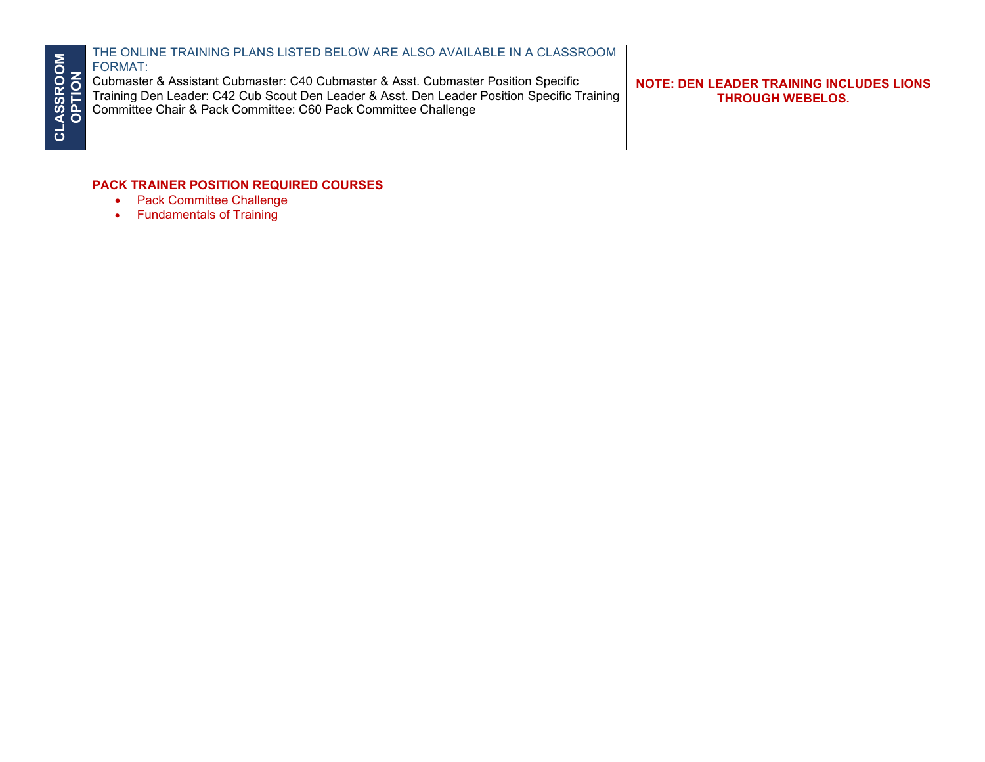| MO<br>ಕ | THE ONLINE TRAINING PLANS LISTED BELOW ARE ALSO AVAILABLE IN A CLASSROOM<br>FORMAT:<br>OC Cubmaster & Assistant Cubmaster: C40 Cubmaster & Asst. Cubmaster Position Specific<br>Training Den Leader: C42 Cub Scout Den Leader & Asst. Den Leader Position Specific Tra<br>Training Den Leader: C42 Cub Scout Den Leader & Asst. Den Leader Position Specific Training<br>Committee Chair & Pack Committee: C60 Pack Committee Challenge | <b>NOTE: DEN LEADER TRAINING INCLUDES LIONS</b><br><b>THROUGH WEBELOS.</b> |
|---------|-----------------------------------------------------------------------------------------------------------------------------------------------------------------------------------------------------------------------------------------------------------------------------------------------------------------------------------------------------------------------------------------------------------------------------------------|----------------------------------------------------------------------------|
|---------|-----------------------------------------------------------------------------------------------------------------------------------------------------------------------------------------------------------------------------------------------------------------------------------------------------------------------------------------------------------------------------------------------------------------------------------------|----------------------------------------------------------------------------|

#### **PACK TRAINER POSITION REQUIRED COURSES**

- Pack Committee Challenge
- Fundamentals of Training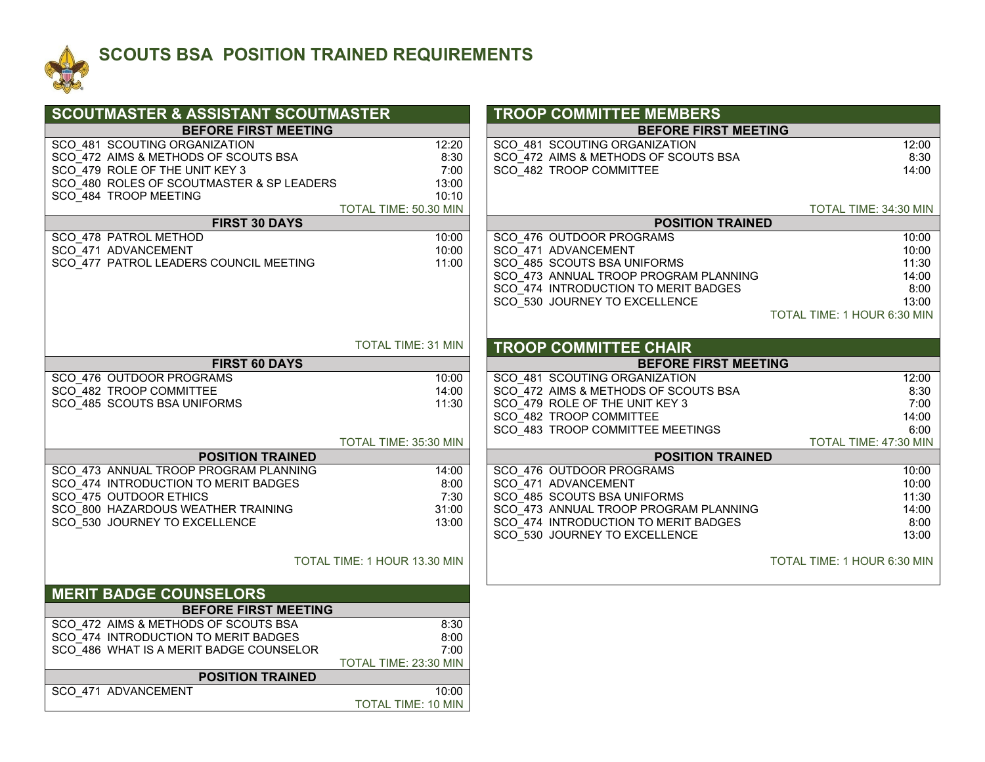

### **SCOUTS BSA POSITION TRAINED REQUIREMENTS**

| <b>SCOUTMASTER &amp; ASSISTANT SCOUTMASTER</b>                                        | <b>TROOP COMMITTEE MEMBERS</b>                                                         |
|---------------------------------------------------------------------------------------|----------------------------------------------------------------------------------------|
| <b>BEFORE FIRST MEETING</b>                                                           | <b>BEFORE FIRST MEETING</b>                                                            |
| SCO 481 SCOUTING ORGANIZATION<br>12:20                                                | SCO 481 SCOUTING ORGANIZATION<br>12:00                                                 |
| SCO_472 AIMS & METHODS OF SCOUTS BSA<br>8:30                                          | SCO 472 AIMS & METHODS OF SCOUTS BSA<br>8:30                                           |
| SCO 479 ROLE OF THE UNIT KEY 3<br>7:00                                                | SCO 482 TROOP COMMITTEE<br>14:00                                                       |
| SCO 480 ROLES OF SCOUTMASTER & SP LEADERS<br>13:00                                    |                                                                                        |
| SCO 484 TROOP MEETING<br>10:10<br>TOTAL TIME: 50.30 MIN                               | TOTAL TIME: 34:30 MIN                                                                  |
| <b>FIRST 30 DAYS</b>                                                                  | <b>POSITION TRAINED</b>                                                                |
| SCO 478 PATROL METHOD<br>10:00                                                        | SCO 476 OUTDOOR PROGRAMS<br>10:00                                                      |
| SCO 471 ADVANCEMENT<br>10:00                                                          | SCO 471 ADVANCEMENT<br>10:00                                                           |
| SCO 477 PATROL LEADERS COUNCIL MEETING<br>11:00                                       | SCO 485 SCOUTS BSA UNIFORMS<br>11:30                                                   |
|                                                                                       | SCO 473 ANNUAL TROOP PROGRAM PLANNING<br>14:00                                         |
|                                                                                       | SCO_474 INTRODUCTION TO MERIT BADGES<br>8:00                                           |
|                                                                                       | SCO_530 JOURNEY TO EXCELLENCE<br>13:00                                                 |
|                                                                                       | TOTAL TIME: 1 HOUR 6:30 MIN                                                            |
| <b>TOTAL TIME: 31 MIN</b>                                                             |                                                                                        |
|                                                                                       | <b>TROOP COMMITTEE CHAIR</b>                                                           |
| <b>FIRST 60 DAYS</b>                                                                  | <b>BEFORE FIRST MEETING</b>                                                            |
| SCO 476 OUTDOOR PROGRAMS<br>10:00<br>SCO 482 TROOP COMMITTEE<br>14:00                 | SCO 481 SCOUTING ORGANIZATION<br>12:00<br>SCO 472 AIMS & METHODS OF SCOUTS BSA<br>8:30 |
| SCO 485 SCOUTS BSA UNIFORMS<br>11:30                                                  | 7:00<br>SCO 479 ROLE OF THE UNIT KEY 3                                                 |
|                                                                                       | SCO 482 TROOP COMMITTEE<br>14:00                                                       |
|                                                                                       | SCO_483 TROOP COMMITTEE MEETINGS<br>6:00                                               |
| TOTAL TIME: 35:30 MIN                                                                 | TOTAL TIME: 47:30 MIN                                                                  |
| <b>POSITION TRAINED</b>                                                               | <b>POSITION TRAINED</b>                                                                |
| SCO_473 ANNUAL TROOP PROGRAM PLANNING<br>14:00                                        | SCO 476 OUTDOOR PROGRAMS<br>10:00                                                      |
| SCO_474 INTRODUCTION TO MERIT BADGES<br>8:00                                          | SCO 471 ADVANCEMENT<br>10:00                                                           |
| SCO 475 OUTDOOR ETHICS<br>7:30                                                        | SCO 485 SCOUTS BSA UNIFORMS<br>11:30                                                   |
| SCO 800 HAZARDOUS WEATHER TRAINING<br>31:00<br>SCO 530 JOURNEY TO EXCELLENCE<br>13:00 | SCO 473 ANNUAL TROOP PROGRAM PLANNING<br>14:00<br>8:00                                 |
|                                                                                       | SCO 474 INTRODUCTION TO MERIT BADGES<br>SCO_530 JOURNEY TO EXCELLENCE<br>13:00         |
|                                                                                       |                                                                                        |
| TOTAL TIME: 1 HOUR 13.30 MIN                                                          | TOTAL TIME: 1 HOUR 6:30 MIN                                                            |
|                                                                                       |                                                                                        |
| <b>MERIT BADGE COUNSELORS</b>                                                         |                                                                                        |
| <b>BEFORE FIRST MEETING</b>                                                           |                                                                                        |
| SCO 472 AIMS & METHODS OF SCOUTS BSA<br>8:30                                          |                                                                                        |
| SCO 474 INTRODUCTION TO MERIT BADGES<br>8:00                                          |                                                                                        |
| SCO_486 WHAT IS A MERIT BADGE COUNSELOR<br>7:00                                       |                                                                                        |
| TOTAL TIME: 23:30 MIN                                                                 |                                                                                        |
| <b>POSITION TRAINED</b>                                                               |                                                                                        |
| SCO 471 ADVANCEMENT<br>10:00<br><b>TOTAL TIME: 10 MIN</b>                             |                                                                                        |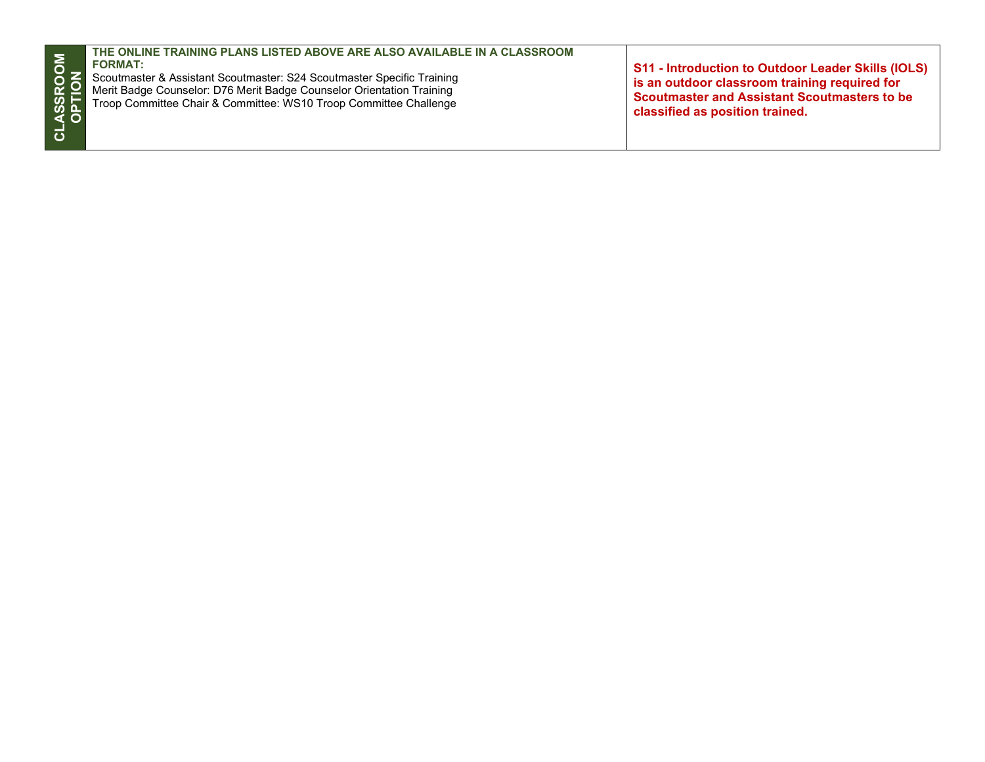| $\overline{5}$<br>25<br><b>ASSI</b><br>OPTI<br>$\overline{\mathbf{o}}$ | THE ONLINE TRAINING PLANS LISTED ABOVE ARE ALSO AVAILABLE IN A CLASSROOM<br><b>FORMAT:</b><br>Scoutmaster & Assistant Scoutmaster: S24 Scoutmaster Specific Training<br>Merit Badge Counselor: D76 Merit Badge Counselor Orientation Training<br>Troop Committee Chair & Committee: WS10 Troop Committee Challenge | S11 - Introduction to Outdoor Leader Skills (IOLS)<br>is an outdoor classroom training required for<br>Scoutmaster and Assistant Scoutmasters to be<br>classified as position trained. |
|------------------------------------------------------------------------|--------------------------------------------------------------------------------------------------------------------------------------------------------------------------------------------------------------------------------------------------------------------------------------------------------------------|----------------------------------------------------------------------------------------------------------------------------------------------------------------------------------------|
|------------------------------------------------------------------------|--------------------------------------------------------------------------------------------------------------------------------------------------------------------------------------------------------------------------------------------------------------------------------------------------------------------|----------------------------------------------------------------------------------------------------------------------------------------------------------------------------------------|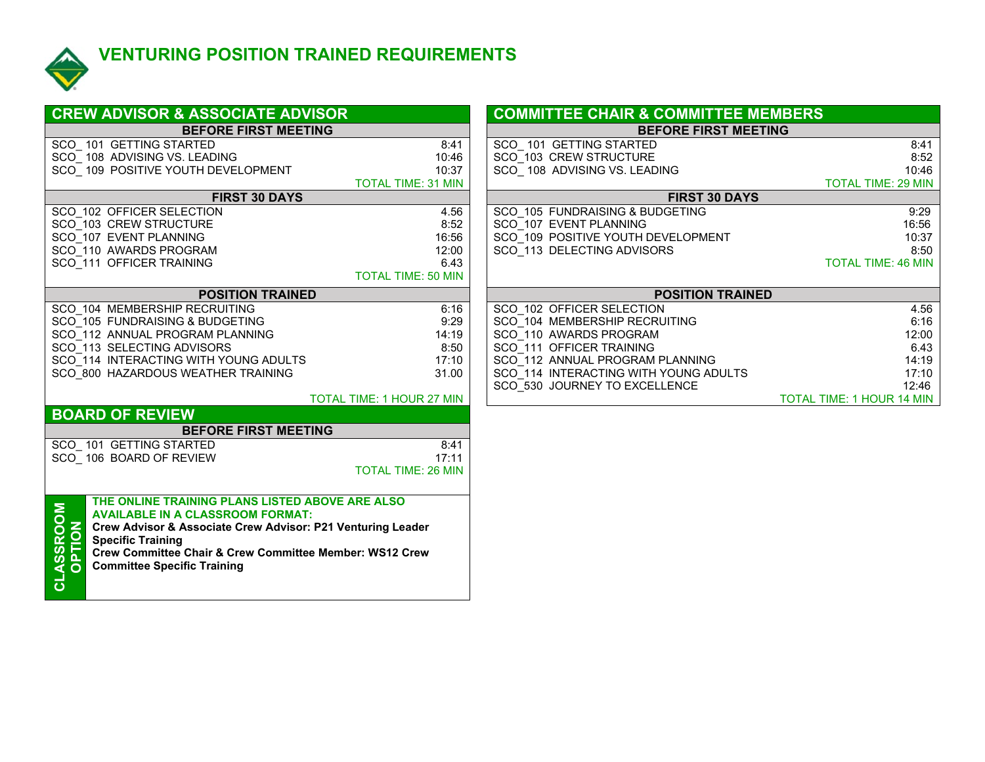

## **VENTURING POSITION TRAINED REQUIREMENTS**

| <b>CREW ADVISOR &amp; ASSOCIATE ADVISOR</b>                    |                                  | <b>COMMITTEE CHAIR &amp; COMMITTEE MEMBERS</b> |                           |
|----------------------------------------------------------------|----------------------------------|------------------------------------------------|---------------------------|
| <b>BEFORE FIRST MEETING</b>                                    |                                  | <b>BEFORE FIRST MEETING</b>                    |                           |
| SCO 101 GETTING STARTED                                        | 8:41                             | SCO 101 GETTING STARTED                        | 8:41                      |
| SCO 108 ADVISING VS. LEADING                                   | 10:46                            | SCO 103 CREW STRUCTURE                         | 8:52                      |
| SCO 109 POSITIVE YOUTH DEVELOPMENT                             | 10:37                            | SCO 108 ADVISING VS. LEADING                   | 10:46                     |
|                                                                | <b>TOTAL TIME: 31 MIN</b>        |                                                | <b>TOTAL TIME: 29 MIN</b> |
| <b>FIRST 30 DAYS</b>                                           |                                  | <b>FIRST 30 DAYS</b>                           |                           |
| SCO 102 OFFICER SELECTION                                      | 4.56                             | SCO 105 FUNDRAISING & BUDGETING                | 9:29                      |
| SCO 103 CREW STRUCTURE                                         | 8:52                             | SCO 107 EVENT PLANNING                         | 16:56                     |
| SCO 107 EVENT PLANNING                                         | 16:56                            | SCO 109 POSITIVE YOUTH DEVELOPMENT             | 10:37                     |
| SCO 110 AWARDS PROGRAM                                         | 12:00                            | SCO_113 DELECTING ADVISORS                     | 8:50                      |
| SCO 111 OFFICER TRAINING                                       | 6.43                             |                                                | <b>TOTAL TIME: 46 MIN</b> |
|                                                                | <b>TOTAL TIME: 50 MIN</b>        |                                                |                           |
| <b>POSITION TRAINED</b>                                        |                                  | <b>POSITION TRAINED</b>                        |                           |
| SCO 104 MEMBERSHIP RECRUITING                                  | 6:16                             | SCO 102 OFFICER SELECTION                      | 4.56                      |
| SCO 105 FUNDRAISING & BUDGETING                                | 9:29                             | SCO 104 MEMBERSHIP RECRUITING                  | 6:16                      |
| SCO_112 ANNUAL PROGRAM PLANNING                                | 14:19                            | SCO_110 AWARDS PROGRAM                         | 12:00                     |
| SCO_113 SELECTING ADVISORS                                     | 8:50                             | SCO 111 OFFICER TRAINING                       | 6.43                      |
| SCO 114 INTERACTING WITH YOUNG ADULTS                          | 17:10                            | SCO 112 ANNUAL PROGRAM PLANNING                | 14:19                     |
| SCO 800 HAZARDOUS WEATHER TRAINING                             | 31.00                            | SCO 114 INTERACTING WITH YOUNG ADULTS          | 17:10                     |
|                                                                |                                  | SCO 530 JOURNEY TO EXCELLENCE                  | 12:46                     |
|                                                                | <b>TOTAL TIME: 1 HOUR 27 MIN</b> |                                                | TOTAL TIME: 1 HOUR 14 MIN |
| <b>BOARD OF REVIEW</b>                                         |                                  |                                                |                           |
| <b>BEFORE FIRST MEETING</b>                                    |                                  |                                                |                           |
| SCO 101 GETTING STARTED                                        | 8:41                             |                                                |                           |
| SCO 106 BOARD OF REVIEW                                        | 17:11                            |                                                |                           |
|                                                                | <b>TOTAL TIME: 26 MIN</b>        |                                                |                           |
|                                                                |                                  |                                                |                           |
| THE ONLINE TRAINING PLANS LISTED ABOVE ARE ALSO                |                                  |                                                |                           |
| <b>AVAILABLE IN A CLASSROOM FORMAT:</b>                        |                                  |                                                |                           |
| Crew Advisor & Associate Crew Advisor: P21 Venturing Leader    |                                  |                                                |                           |
| <b>Specific Training</b>                                       |                                  |                                                |                           |
| Crew Committee Chair & Crew Committee Member: WS12 Crew        |                                  |                                                |                           |
| <b>ASSROOM</b><br>OPTION<br><b>Committee Specific Training</b> |                                  |                                                |                           |
| ಕ                                                              |                                  |                                                |                           |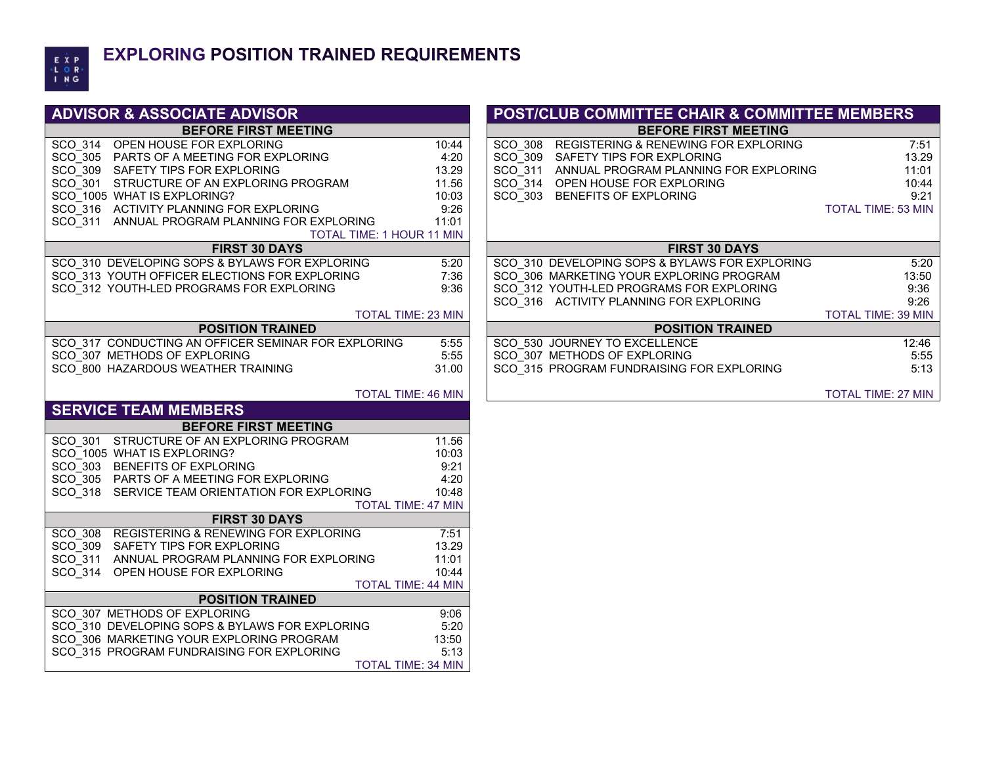

#### **EXPLORING POSITION TRAINED REQUIREMENTS**

| <b>ADVISOR &amp; ASSOCIATE ADVISOR</b>                                 |                           |  |  |
|------------------------------------------------------------------------|---------------------------|--|--|
| <b>BEFORE FIRST MEETING</b>                                            |                           |  |  |
| $SCO$ 314<br>OPEN HOUSE FOR EXPLORING                                  | 10:44                     |  |  |
| SCO_305<br>PARTS OF A MEETING FOR EXPLORING                            | 4:20                      |  |  |
| SCO 309<br>SAFETY TIPS FOR EXPLORING                                   | 13.29                     |  |  |
| SCO 301<br>STRUCTURE OF AN EXPLORING PROGRAM                           | 11.56                     |  |  |
| SCO_1005 WHAT IS EXPLORING?                                            | 10:03                     |  |  |
| SCO 316<br>ACTIVITY PLANNING FOR EXPLORING                             | 9:26                      |  |  |
| $SCO$ 311<br>ANNUAL PROGRAM PLANNING FOR EXPLORING                     | 11:01                     |  |  |
| <b>TOTAL TIME: 1 HOUR 11 MIN</b>                                       |                           |  |  |
| <b>FIRST 30 DAYS</b>                                                   |                           |  |  |
| SCO 310 DEVELOPING SOPS & BYLAWS FOR EXPLORING                         | 5:20                      |  |  |
| SCO 313 YOUTH OFFICER ELECTIONS FOR EXPLORING                          | 7:36                      |  |  |
| SCO 312 YOUTH-LED PROGRAMS FOR EXPLORING                               | 9:36                      |  |  |
| <b>TOTAL TIME: 23 MIN</b>                                              |                           |  |  |
| <b>POSITION TRAINED</b>                                                |                           |  |  |
| SCO 317 CONDUCTING AN OFFICER SEMINAR FOR EXPLORING                    | 5:55                      |  |  |
| SCO 307 METHODS OF EXPLORING                                           | 5:55                      |  |  |
| SCO 800 HAZARDOUS WEATHER TRAINING                                     | 31.00                     |  |  |
|                                                                        |                           |  |  |
| <b>TOTAL TIME: 46 MIN</b>                                              |                           |  |  |
| <b>SERVICE TEAM MEMBERS</b>                                            |                           |  |  |
| <b>BEFORE FIRST MEETING</b>                                            |                           |  |  |
| STRUCTURE OF AN EXPLORING PROGRAM<br>SCO 301                           | 11.56                     |  |  |
| SCO_1005 WHAT IS EXPLORING?                                            | 10:03                     |  |  |
| SCO 303 BENEFITS OF EXPLORING                                          | 9:21                      |  |  |
| SCO 305 PARTS OF A MEETING FOR EXPLORING                               | 4:20                      |  |  |
| SCO 318<br>SERVICE TEAM ORIENTATION FOR EXPLORING                      | 10:48                     |  |  |
|                                                                        |                           |  |  |
|                                                                        | <b>TOTAL TIME: 47 MIN</b> |  |  |
| <b>FIRST 30 DAYS</b>                                                   |                           |  |  |
| REGISTERING & RENEWING FOR EXPLORING<br><b>SCO 308</b>                 | 7:51                      |  |  |
| SCO 309<br>SAFETY TIPS FOR EXPLORING                                   | 13.29                     |  |  |
| SCO_311<br>ANNUAL PROGRAM PLANNING FOR EXPLORING                       | 11:01                     |  |  |
| SCO 314<br>OPEN HOUSE FOR EXPLORING                                    | 10:44                     |  |  |
| <b>TOTAL TIME: 44 MIN</b>                                              |                           |  |  |
| <b>POSITION TRAINED</b>                                                |                           |  |  |
| SCO 307 METHODS OF EXPLORING                                           | 9:06                      |  |  |
| SCO 310 DEVELOPING SOPS & BYLAWS FOR EXPLORING                         | 5:20                      |  |  |
| SCO 306 MARKETING YOUR EXPLORING PROGRAM                               | 13:50                     |  |  |
| SCO 315 PROGRAM FUNDRAISING FOR EXPLORING<br><b>TOTAL TIME: 34 MIN</b> | 5:13                      |  |  |

#### **POST/CLUB COMMITTEE CHAIR & COMMITTEE MEMBERS**

**BEFORE FIRST MEETING BEFORE FIRST MEETING**

| OR EXPLORING<br>ETING FOR EXPLORING<br>)R EXPLORING<br>FAN EXPLORING PROGRAMI<br>RING? | 10:44<br>4:20<br>13.29<br>11.56<br>10:03 | SCO 308<br>SCO 309<br>SCO 311<br>SCO 314<br>SCO 303 | REGISTERING & RENEWING FOR EXPLORING<br>SAFETY TIPS FOR EXPLORING<br>ANNUAL PROGRAM PLANNING FOR EXPLORING<br>OPEN HOUSE FOR EXPLORING<br>BENEFITS OF EXPLORING | 7:51<br>13.29<br>11:01<br>10:44<br>9:21 |
|----------------------------------------------------------------------------------------|------------------------------------------|-----------------------------------------------------|-----------------------------------------------------------------------------------------------------------------------------------------------------------------|-----------------------------------------|
| NING FOR EXPLORING<br>RAM PLANNING FOR EXPLORING                                       | 9:26<br>11:01                            |                                                     |                                                                                                                                                                 | <b>TOTAL TIME: 53 MIN</b>               |
| <b>TOTAL TIME: 1 HOUR 11 MIN</b>                                                       |                                          |                                                     |                                                                                                                                                                 |                                         |
| <b>FIRST 30 DAYS</b>                                                                   |                                          |                                                     | <b>FIRST 30 DAYS</b>                                                                                                                                            |                                         |
| PS & BYLAWS FOR EXPLORING                                                              | 5:20                                     |                                                     | SCO 310 DEVELOPING SOPS & BYLAWS FOR EXPLORING                                                                                                                  | 5:20                                    |
| ELECTIONS FOR EXPLORING                                                                | 7:36                                     |                                                     | SCO 306 MARKETING YOUR EXPLORING PROGRAM                                                                                                                        | 13:50                                   |
| <b>GRAMS FOR EXPLORING</b>                                                             | 9:36                                     |                                                     | SCO 312 YOUTH-LED PROGRAMS FOR EXPLORING                                                                                                                        | 9:36                                    |
|                                                                                        |                                          |                                                     | SCO 316 ACTIVITY PLANNING FOR EXPLORING                                                                                                                         | 9:26                                    |
| <b>TOTAL TIME: 23 MIN</b>                                                              |                                          |                                                     |                                                                                                                                                                 | <b>TOTAL TIME: 39 MIN</b>               |
| <b>POSITION TRAINED</b>                                                                |                                          |                                                     | <b>POSITION TRAINED</b>                                                                                                                                         |                                         |
| I OFFICER SEMINAR FOR EXPLORING                                                        | 5:55                                     |                                                     | SCO 530 JOURNEY TO EXCELLENCE                                                                                                                                   | 12:46                                   |
| PLORING                                                                                | 5:55                                     |                                                     | SCO 307 METHODS OF EXPLORING                                                                                                                                    | 5:55                                    |
| ATHER TRAINING                                                                         | 31.00                                    |                                                     | SCO 315 PROGRAM FUNDRAISING FOR EXPLORING                                                                                                                       | 5:13                                    |
| <b>TOTAL TIME: 46 MIN</b>                                                              |                                          |                                                     |                                                                                                                                                                 | <b>TOTAL TIME: 27 MIN</b>               |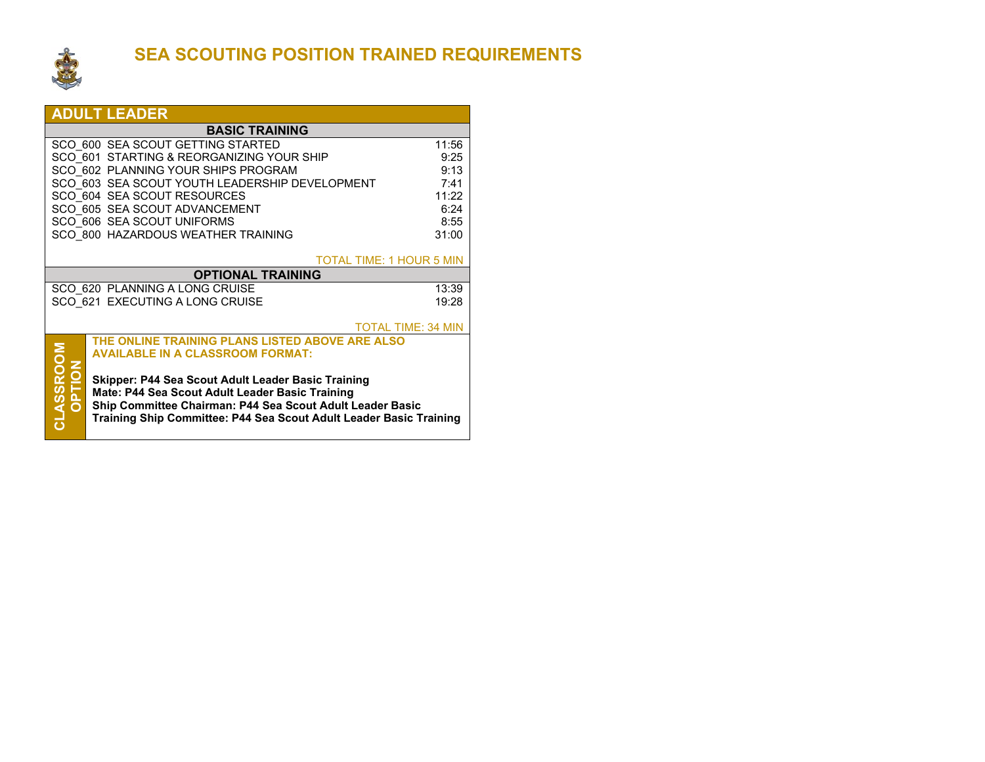

### **SEA SCOUTING POSITION TRAINED REQUIREMENTS**

|                                                                               | <b>ADULT LEADER</b>                                         |                           |  |  |  |
|-------------------------------------------------------------------------------|-------------------------------------------------------------|---------------------------|--|--|--|
| <b>BASIC TRAINING</b>                                                         |                                                             |                           |  |  |  |
|                                                                               | SCO 600 SEA SCOUT GETTING STARTED                           | 11:56                     |  |  |  |
| SCO 601 STARTING & REORGANIZING YOUR SHIP<br>9:25                             |                                                             |                           |  |  |  |
|                                                                               | SCO 602 PLANNING YOUR SHIPS PROGRAM                         | 9:13                      |  |  |  |
|                                                                               | SCO 603 SEA SCOUT YOUTH LEADERSHIP DEVELOPMENT              | 7:41                      |  |  |  |
|                                                                               | SCO 604 SEA SCOUT RESOURCES                                 | 11:22                     |  |  |  |
|                                                                               | SCO 605 SEA SCOUT ADVANCEMENT<br>SCO 606 SEA SCOUT UNIFORMS | 6:24<br>8:55              |  |  |  |
|                                                                               | SCO 800 HAZARDOUS WEATHER TRAINING                          | 31:00                     |  |  |  |
|                                                                               |                                                             |                           |  |  |  |
|                                                                               | <b>TOTAL TIME: 1 HOUR 5 MIN</b>                             |                           |  |  |  |
|                                                                               | <b>OPTIONAL TRAINING</b>                                    |                           |  |  |  |
|                                                                               | SCO 620 PLANNING A LONG CRUISE                              | 13:39                     |  |  |  |
|                                                                               | SCO 621 EXECUTING A LONG CRUISE                             | 19:28                     |  |  |  |
|                                                                               |                                                             |                           |  |  |  |
|                                                                               | THE ONLINE TRAINING PLANS LISTED ABOVE ARE ALSO             | <b>TOTAL TIME: 34 MIN</b> |  |  |  |
|                                                                               | <b>AVAILABLE IN A CLASSROOM FORMAT:</b>                     |                           |  |  |  |
|                                                                               |                                                             |                           |  |  |  |
|                                                                               | Skipper: P44 Sea Scout Adult Leader Basic Training          |                           |  |  |  |
| <b>PHOL</b><br>Mate: P44 Sea Scout Adult Leader Basic Training                |                                                             |                           |  |  |  |
| Ship Committee Chairman: P44 Sea Scout Adult Leader Basic                     |                                                             |                           |  |  |  |
| CLASSRO<br>Training Ship Committee: P44 Sea Scout Adult Leader Basic Training |                                                             |                           |  |  |  |
|                                                                               |                                                             |                           |  |  |  |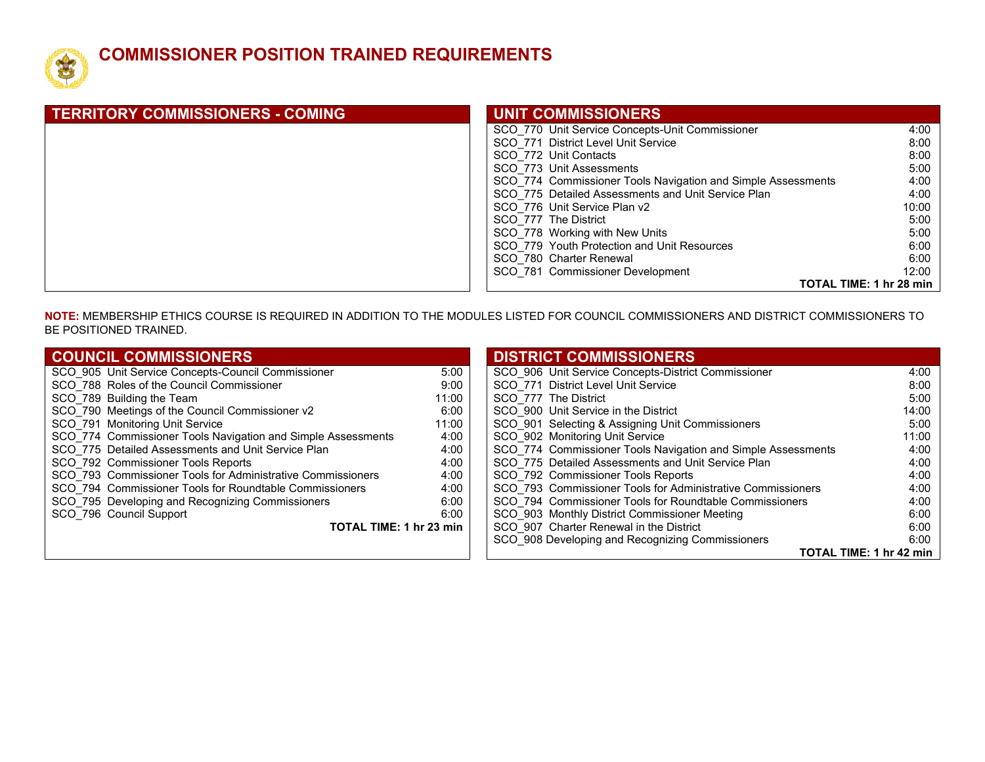

#### **COMMISSIONER POSITION TRAINED REQUIREMENTS**

| <b>TERRITORY COMMISSIONERS - COMING</b> | UNIT COMMISSIONERS                                           |                         |
|-----------------------------------------|--------------------------------------------------------------|-------------------------|
|                                         | SCO 770 Unit Service Concepts-Unit Commissioner              | 4:00                    |
|                                         | SCO 771 District Level Unit Service                          | 8:00                    |
|                                         | SCO 772 Unit Contacts                                        | 8:00                    |
|                                         | SCO 773 Unit Assessments                                     | 5:00                    |
|                                         | SCO 774 Commissioner Tools Navigation and Simple Assessments | 4:00                    |
|                                         | SCO 775 Detailed Assessments and Unit Service Plan           | 4:00                    |
|                                         | SCO 776 Unit Service Plan v2                                 | 10:00                   |
|                                         | SCO 777 The District                                         | 5:00                    |
|                                         | SCO 778 Working with New Units                               | 5:00                    |
|                                         | SCO 779 Youth Protection and Unit Resources                  | 6:00                    |
|                                         | SCO 780 Charter Renewal                                      | 6:00                    |
|                                         | SCO 781 Commissioner Development                             | 12:00                   |
|                                         |                                                              | TOTAL TIME: 1 hr 28 min |

**NOTE:** MEMBERSHIP ETHICS COURSE IS REQUIRED IN ADDITION TO THE MODULES LISTED FOR COUNCIL COMMISSIONERS AND DISTRICT COMMISSIONERS TO BE POSITIONED TRAINED.

| <b>COUNCIL COMMISSIONERS</b>                                 |       | <b>DISTRICT COMMISSIONERS</b>                                |       |
|--------------------------------------------------------------|-------|--------------------------------------------------------------|-------|
| SCO 905 Unit Service Concepts-Council Commissioner           | 5:00  | SCO 906 Unit Service Concepts-District Commissioner          | 4:00  |
| SCO 788 Roles of the Council Commissioner                    | 9:00  | SCO 771 District Level Unit Service                          | 8:00  |
| SCO 789 Building the Team                                    | 11:00 | SCO 777 The District                                         | 5:00  |
| SCO 790 Meetings of the Council Commissioner v2              | 6:00  | SCO 900 Unit Service in the District                         | 14:00 |
| SCO 791 Monitoring Unit Service                              | 11:00 | SCO 901 Selecting & Assigning Unit Commissioners             | 5:00  |
| SCO 774 Commissioner Tools Navigation and Simple Assessments | 4:00  | SCO 902 Monitoring Unit Service                              | 11:00 |
| SCO 775 Detailed Assessments and Unit Service Plan           | 4:00  | SCO 774 Commissioner Tools Navigation and Simple Assessments | 4:00  |
| SCO 792 Commissioner Tools Reports                           | 4:00  | SCO 775 Detailed Assessments and Unit Service Plan           | 4:00  |
| SCO 793 Commissioner Tools for Administrative Commissioners  | 4:00  | SCO 792 Commissioner Tools Reports                           | 4:00  |
| SCO 794 Commissioner Tools for Roundtable Commissioners      | 4:00  | SCO 793 Commissioner Tools for Administrative Commissioners  | 4:00  |
| SCO 795 Developing and Recognizing Commissioners             | 6:00  | SCO 794 Commissioner Tools for Roundtable Commissioners      | 4:00  |
| SCO 796 Council Support                                      | 6:00  | SCO_903 Monthly District Commissioner Meeting                | 6:00  |
| TOTAL TIME: 1 hr 23 min                                      |       | SCO 907 Charter Renewal in the District                      | 6:00  |
|                                                              |       | SCO_908 Developing and Recognizing Commissioners             | 6:00  |
|                                                              |       | TOTAL TIME: 1 hr 42 min                                      |       |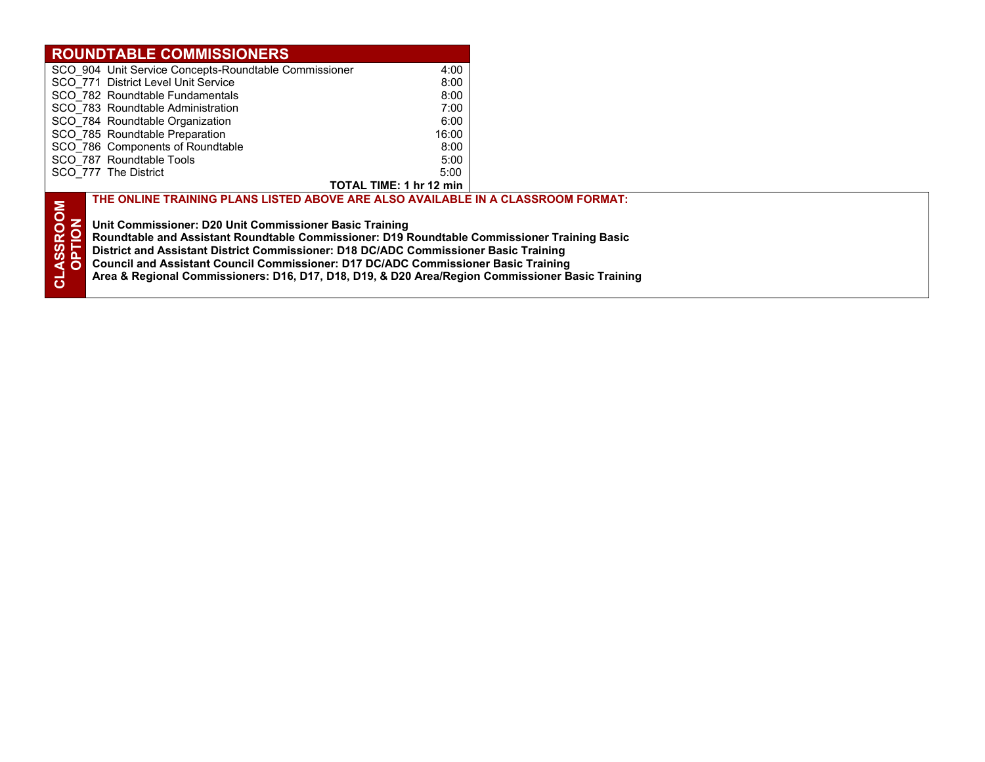| <b>ROUNDTABLE COMMISSIONERS</b>                                                                       |                         |  |
|-------------------------------------------------------------------------------------------------------|-------------------------|--|
| SCO_904 Unit Service Concepts-Roundtable Commissioner                                                 | 4:00                    |  |
| SCO 771 District Level Unit Service                                                                   | 8:00                    |  |
| SCO 782 Roundtable Fundamentals                                                                       | 8:00                    |  |
| SCO 783 Roundtable Administration                                                                     | 7:00                    |  |
| SCO 784 Roundtable Organization                                                                       | 6:00                    |  |
| SCO 785 Roundtable Preparation                                                                        | 16:00                   |  |
| SCO 786 Components of Roundtable                                                                      | 8:00                    |  |
| SCO 787 Roundtable Tools                                                                              | 5:00                    |  |
| SCO 777 The District                                                                                  | 5:00                    |  |
|                                                                                                       | TOTAL TIME: 1 hr 12 min |  |
| THE ONLINE TRAINING PLANS LISTED ABOVE ARE ALSO AVAILABLE IN A CLASSROOM FORMAT:                      |                         |  |
|                                                                                                       |                         |  |
| <b>NOO</b><br>Unit Commissioner: D20 Unit Commissioner Basic Training                                 |                         |  |
| Roundtable and Assistant Roundtable Commissioner: D19 Roundtable Commissioner Training Basic          |                         |  |
| <b>ASSR</b><br>District and Assistant District Commissioner: D18 DC/ADC Commissioner Basic Training   |                         |  |
|                                                                                                       |                         |  |
| <b>Council and Assistant Council Commissioner: D17 DC/ADC Commissioner Basic Training</b>             |                         |  |
| ಕ<br>Area & Regional Commissioners: D16, D17, D18, D19, & D20 Area/Region Commissioner Basic Training |                         |  |
|                                                                                                       |                         |  |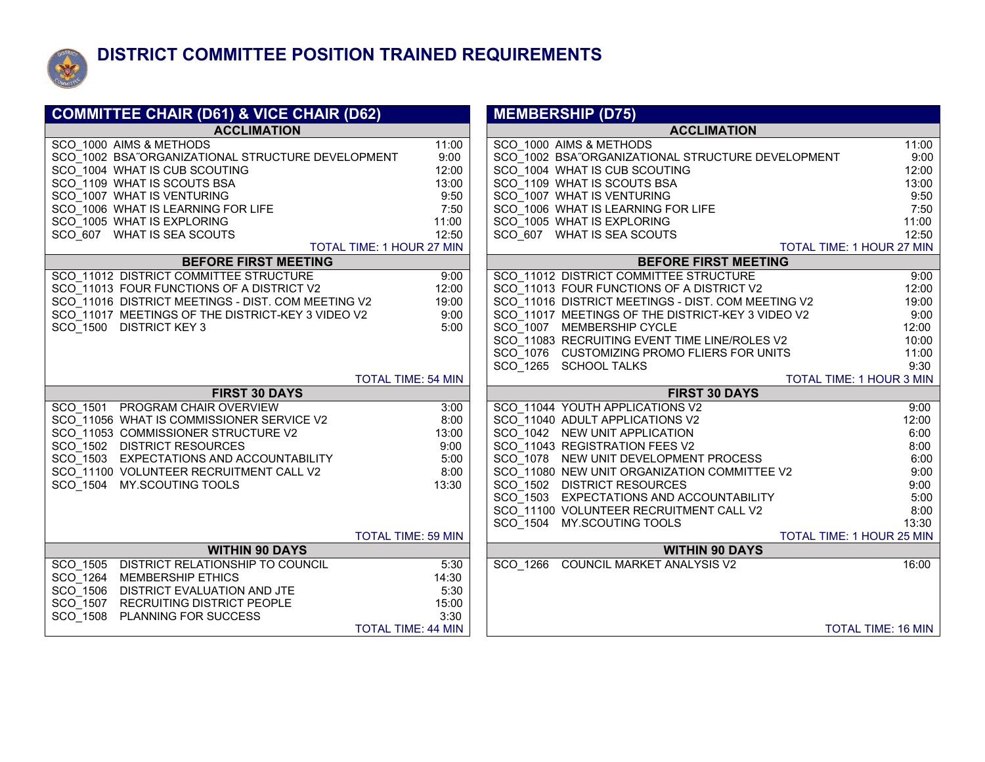

### **DISTRICT COMMITTEE POSITION TRAINED REQUIREMENTS**

| <b>COMMITTEE CHAIR (D61) &amp; VICE CHAIR (D62)</b> |                           | <b>MEMBERSHIP (D75)</b>                                     |
|-----------------------------------------------------|---------------------------|-------------------------------------------------------------|
| <b>ACCLIMATION</b>                                  |                           | <b>ACCLIMATION</b>                                          |
| SCO 1000 AIMS & METHODS                             | 11:00                     | SCO 1000 AIMS & METHODS<br>11:00                            |
| SCO 1002 BSA"ORGANIZATIONAL STRUCTURE DEVELOPMENT   | 9:00                      | SCO 1002 BSA"ORGANIZATIONAL STRUCTURE DEVELOPMENT<br>9:00   |
| SCO 1004 WHAT IS CUB SCOUTING                       | 12:00                     | SCO 1004 WHAT IS CUB SCOUTING<br>12:00                      |
| SCO 1109 WHAT IS SCOUTS BSA                         | 13:00                     | SCO 1109 WHAT IS SCOUTS BSA<br>13:00                        |
| SCO 1007 WHAT IS VENTURING                          | 9:50                      | 9:50<br>SCO 1007 WHAT IS VENTURING                          |
| SCO_1006 WHAT IS LEARNING FOR LIFE                  | 7:50                      | SCO 1006 WHAT IS LEARNING FOR LIFE<br>7:50                  |
| SCO 1005 WHAT IS EXPLORING                          | 11:00                     | SCO_1005 WHAT IS EXPLORING<br>11:00                         |
| SCO 607 WHAT IS SEA SCOUTS                          | 12:50                     | SCO 607 WHAT IS SEA SCOUTS<br>12:50                         |
|                                                     | TOTAL TIME: 1 HOUR 27 MIN | TOTAL TIME: 1 HOUR 27 MIN                                   |
| <b>BEFORE FIRST MEETING</b>                         |                           | <b>BEFORE FIRST MEETING</b>                                 |
| SCO 11012 DISTRICT COMMITTEE STRUCTURE              | 9:00                      | SCO 11012 DISTRICT COMMITTEE STRUCTURE<br>9:00              |
| SCO 11013 FOUR FUNCTIONS OF A DISTRICT V2           | 12:00                     | SCO 11013 FOUR FUNCTIONS OF A DISTRICT V2<br>12:00          |
| SCO 11016 DISTRICT MEETINGS - DIST. COM MEETING V2  | 19:00                     | SCO 11016 DISTRICT MEETINGS - DIST. COM MEETING V2<br>19:00 |
| SCO 11017 MEETINGS OF THE DISTRICT-KEY 3 VIDEO V2   | 9:00                      | SCO_11017 MEETINGS OF THE DISTRICT-KEY 3 VIDEO V2<br>9:00   |
| SCO 1500 DISTRICT KEY 3                             | 5:00                      | SCO 1007 MEMBERSHIP CYCLE<br>12:00                          |
|                                                     |                           | SCO 11083 RECRUITING EVENT TIME LINE/ROLES V2<br>10:00      |
|                                                     |                           | SCO 1076 CUSTOMIZING PROMO FLIERS FOR UNITS<br>11:00        |
|                                                     |                           | 9:30<br>SCO 1265 SCHOOL TALKS                               |
| <b>FIRST 30 DAYS</b>                                | <b>TOTAL TIME: 54 MIN</b> | TOTAL TIME: 1 HOUR 3 MIN<br><b>FIRST 30 DAYS</b>            |
| SCO 1501 PROGRAM CHAIR OVERVIEW                     | 3:00                      | SCO 11044 YOUTH APPLICATIONS V2<br>9:00                     |
| SCO 11056 WHAT IS COMMISSIONER SERVICE V2           | 8:00                      | SCO 11040 ADULT APPLICATIONS V2<br>12:00                    |
| SCO 11053 COMMISSIONER STRUCTURE V2                 | 13:00                     | SCO 1042 NEW UNIT APPLICATION<br>6:00                       |
| SCO 1502 DISTRICT RESOURCES                         | 9:00                      | SCO 11043 REGISTRATION FEES V2<br>8:00                      |
| SCO 1503 EXPECTATIONS AND ACCOUNTABILITY            | 5:00                      | SCO 1078 NEW UNIT DEVELOPMENT PROCESS<br>6:00               |
| SCO 11100 VOLUNTEER RECRUITMENT CALL V2             | 8:00                      | SCO 11080 NEW UNIT ORGANIZATION COMMITTEE V2<br>9:00        |
| SCO 1504 MY.SCOUTING TOOLS                          | 13:30                     | SCO 1502 DISTRICT RESOURCES<br>9:00                         |
|                                                     |                           | SCO 1503 EXPECTATIONS AND ACCOUNTABILITY<br>5:00            |
|                                                     |                           | 8:00<br>SCO 11100 VOLUNTEER RECRUITMENT CALL V2             |
|                                                     |                           | SCO 1504 MY.SCOUTING TOOLS<br>13:30                         |
|                                                     | <b>TOTAL TIME: 59 MIN</b> | TOTAL TIME: 1 HOUR 25 MIN                                   |
| <b>WITHIN 90 DAYS</b>                               |                           | <b>WITHIN 90 DAYS</b>                                       |
| SCO 1505 DISTRICT RELATIONSHIP TO COUNCIL           | 5:30                      | SCO 1266 COUNCIL MARKET ANALYSIS V2<br>16:00                |
| SCO 1264 MEMBERSHIP ETHICS                          | 14:30                     |                                                             |
| SCO 1506 DISTRICT EVALUATION AND JTE                | 5:30                      |                                                             |
| SCO 1507<br>RECRUITING DISTRICT PEOPLE              | 15:00                     |                                                             |
| SCO 1508<br><b>PLANNING FOR SUCCESS</b>             | 3:30                      |                                                             |
|                                                     | <b>TOTAL TIME: 44 MIN</b> | <b>TOTAL TIME: 16 MIN</b>                                   |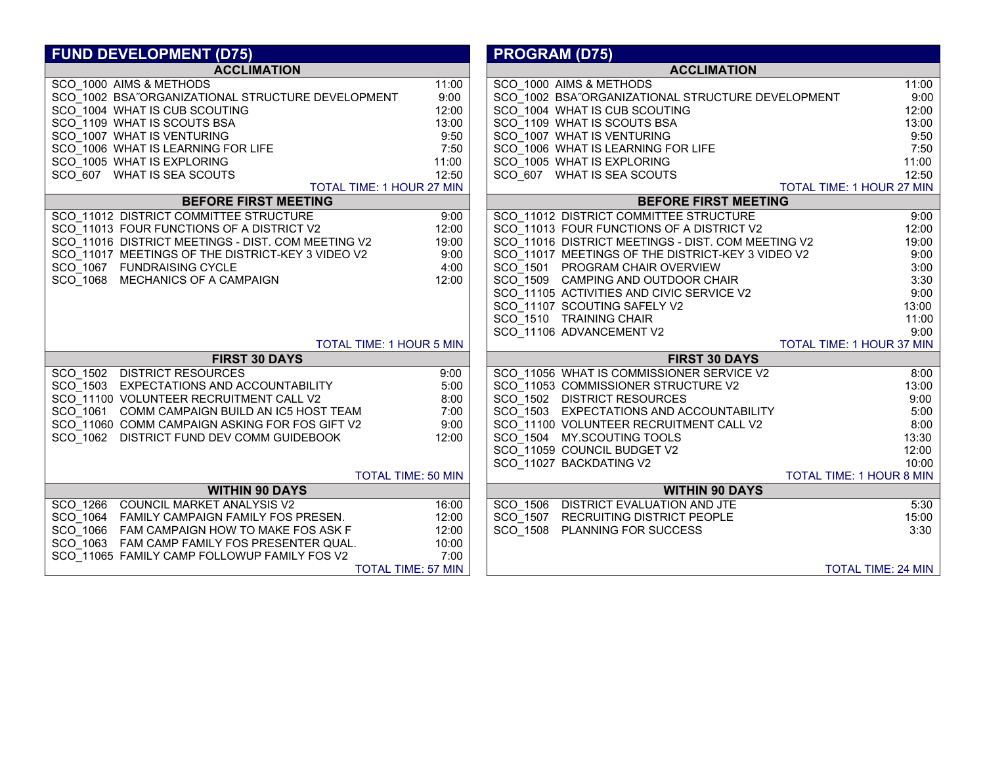| <b>FUND DEVELOPMENT (D75)</b>                          |       | <b>PROGRAM (D75)</b>                                   |                           |
|--------------------------------------------------------|-------|--------------------------------------------------------|---------------------------|
| <b>ACCLIMATION</b>                                     |       | <b>ACCLIMATION</b>                                     |                           |
| SCO 1000 AIMS & METHODS                                | 11:00 | SCO 1000 AIMS & METHODS                                | 11:00                     |
| SCO 1002 BSA"ORGANIZATIONAL STRUCTURE DEVELOPMENT      | 9:00  | SCO 1002 BSA"ORGANIZATIONAL STRUCTURE DEVELOPMENT      | 9:00                      |
| SCO 1004 WHAT IS CUB SCOUTING                          | 12:00 | SCO 1004 WHAT IS CUB SCOUTING                          | 12:00                     |
| SCO 1109 WHAT IS SCOUTS BSA                            | 13:00 | SCO 1109 WHAT IS SCOUTS BSA                            | 13:00                     |
| SCO 1007 WHAT IS VENTURING                             | 9:50  | SCO 1007 WHAT IS VENTURING                             | 9:50                      |
| SCO 1006 WHAT IS LEARNING FOR LIFE                     | 7:50  | SCO 1006 WHAT IS LEARNING FOR LIFE                     | 7:50                      |
| SCO 1005 WHAT IS EXPLORING                             | 11:00 | SCO 1005 WHAT IS EXPLORING                             | 11:00                     |
| SCO 607 WHAT IS SEA SCOUTS                             | 12:50 | SCO 607 WHAT IS SEA SCOUTS                             | 12:50                     |
| TOTAL TIME: 1 HOUR 27 MIN                              |       | TOTAL TIME: 1 HOUR 27 MIN                              |                           |
| <b>BEFORE FIRST MEETING</b>                            |       | <b>BEFORE FIRST MEETING</b>                            |                           |
| SCO 11012 DISTRICT COMMITTEE STRUCTURE                 | 9:00  | SCO 11012 DISTRICT COMMITTEE STRUCTURE                 | 9:00                      |
| SCO <sup>-</sup> 11013 FOUR FUNCTIONS OF A DISTRICT V2 | 12:00 | SCO <sup>-</sup> 11013 FOUR FUNCTIONS OF A DISTRICT V2 | 12:00                     |
| SCO 11016 DISTRICT MEETINGS - DIST. COM MEETING V2     | 19:00 | SCO 11016 DISTRICT MEETINGS - DIST. COM MEETING V2     | 19:00                     |
| SCO 11017 MEETINGS OF THE DISTRICT-KEY 3 VIDEO V2      | 9:00  | SCO 11017 MEETINGS OF THE DISTRICT-KEY 3 VIDEO V2      | 9:00                      |
| SCO 1067 FUNDRAISING CYCLE                             | 4:00  | SCO 1501 PROGRAM CHAIR OVERVIEW                        | 3:00                      |
| SCO 1068 MECHANICS OF A CAMPAIGN                       | 12:00 | SCO 1509 CAMPING AND OUTDOOR CHAIR                     | 3:30                      |
|                                                        |       | SCO 11105 ACTIVITIES AND CIVIC SERVICE V2              | 9:00                      |
|                                                        |       | SCO 11107 SCOUTING SAFELY V2                           | 13:00                     |
|                                                        |       | SCO 1510 TRAINING CHAIR                                | 11:00                     |
|                                                        |       | SCO 11106 ADVANCEMENT V2                               | 9:00                      |
| <b>TOTAL TIME: 1 HOUR 5 MIN</b>                        |       | TOTAL TIME: 1 HOUR 37 MIN                              |                           |
| <b>FIRST 30 DAYS</b>                                   |       | <b>FIRST 30 DAYS</b>                                   |                           |
| SCO 1502 DISTRICT RESOURCES                            | 9:00  | SCO 11056 WHAT IS COMMISSIONER SERVICE V2              | 8:00                      |
| SCO 1503 EXPECTATIONS AND ACCOUNTABILITY               | 5:00  | SCO 11053 COMMISSIONER STRUCTURE V2                    | 13:00                     |
| SCO 11100 VOLUNTEER RECRUITMENT CALL V2                | 8:00  | SCO 1502 DISTRICT RESOURCES                            | 9:00                      |
| SCO 1061 COMM CAMPAIGN BUILD AN IC5 HOST TEAM          | 7:00  | SCO 1503 EXPECTATIONS AND ACCOUNTABILITY               | 5:00                      |
| SCO 11060 COMM CAMPAIGN ASKING FOR FOS GIFT V2         | 9:00  | SCO 11100 VOLUNTEER RECRUITMENT CALL V2                | 8:00                      |
| SCO 1062 DISTRICT FUND DEV COMM GUIDEBOOK              | 12:00 | SCO 1504 MY.SCOUTING TOOLS                             | 13:30                     |
|                                                        |       | SCO 11059 COUNCIL BUDGET V2                            | 12:00                     |
|                                                        |       | SCO_11027 BACKDATING V2                                | 10:00                     |
| <b>TOTAL TIME: 50 MIN</b>                              |       | TOTAL TIME: 1 HOUR 8 MIN                               |                           |
| <b>WITHIN 90 DAYS</b>                                  |       | <b>WITHIN 90 DAYS</b>                                  |                           |
| SCO 1266 COUNCIL MARKET ANALYSIS V2                    | 16:00 | SCO 1506 DISTRICT EVALUATION AND JTE                   | 5:30                      |
| SCO 1064 FAMILY CAMPAIGN FAMILY FOS PRESEN.            | 12:00 | SCO 1507 RECRUITING DISTRICT PEOPLE                    | 15:00                     |
| SCO 1066 FAM CAMPAIGN HOW TO MAKE FOS ASK F            | 12:00 | SCO 1508 PLANNING FOR SUCCESS                          | 3:30                      |
| SCO 1063 FAM CAMP FAMILY FOS PRESENTER QUAL.           | 10:00 |                                                        |                           |
| SCO 11065 FAMILY CAMP FOLLOWUP FAMILY FOS V2           | 7:00  |                                                        |                           |
| <b>TOTAL TIME: 57 MIN</b>                              |       |                                                        | <b>TOTAL TIME: 24 MIN</b> |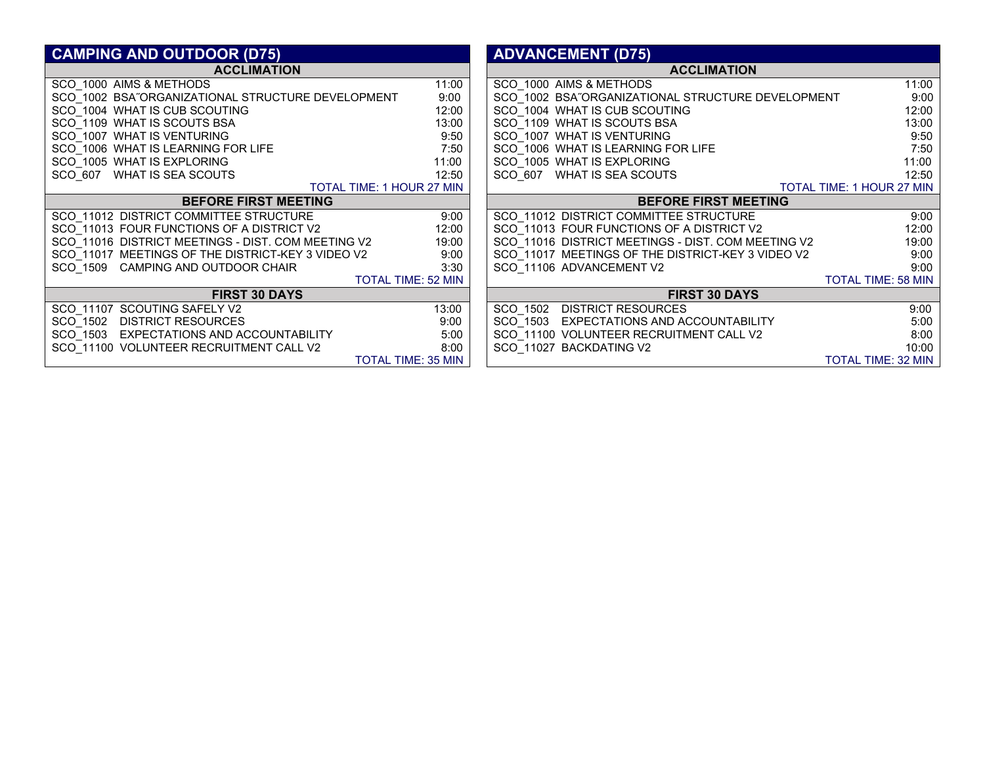| <b>CAMPING AND OUTDOOR (D75)</b>                   |                           | <b>ADVANCEMENT (D75)</b>                           |                           |  |
|----------------------------------------------------|---------------------------|----------------------------------------------------|---------------------------|--|
| <b>ACCLIMATION</b>                                 |                           | <b>ACCLIMATION</b>                                 |                           |  |
| SCO_1000 AIMS & METHODS                            | 11:00                     | SCO 1000 AIMS & METHODS                            | 11:00                     |  |
| SCO 1002 BSA"ORGANIZATIONAL STRUCTURE DEVELOPMENT  | 9:00                      | SCO 1002 BSA"ORGANIZATIONAL STRUCTURE DEVELOPMENT  | 9:00                      |  |
| SCO 1004 WHAT IS CUB SCOUTING                      | 12:00                     | SCO 1004 WHAT IS CUB SCOUTING                      | 12:00                     |  |
| SCO 1109 WHAT IS SCOUTS BSA                        | 13:00                     | SCO 1109 WHAT IS SCOUTS BSA                        | 13:00                     |  |
| SCO_1007 WHAT IS VENTURING                         | 9:50                      | SCO_1007 WHAT IS VENTURING                         | 9:50                      |  |
| SCO 1006 WHAT IS LEARNING FOR LIFE                 | 7:50                      | SCO 1006 WHAT IS LEARNING FOR LIFE                 | 7:50                      |  |
| SCO 1005 WHAT IS EXPLORING                         | 11:00                     | SCO 1005 WHAT IS EXPLORING                         | 11:00                     |  |
| SCO 607 WHAT IS SEA SCOUTS                         | 12:50                     | SCO 607 WHAT IS SEA SCOUTS                         | 12:50                     |  |
| TOTAL TIME: 1 HOUR 27 MIN                          |                           | <b>TOTAL TIME: 1 HOUR 27 MIN</b>                   |                           |  |
| <b>BEFORE FIRST MEETING</b>                        |                           | <b>BEFORE FIRST MEETING</b>                        |                           |  |
| SCO 11012 DISTRICT COMMITTEE STRUCTURE             | 9:00                      | SCO 11012 DISTRICT COMMITTEE STRUCTURE             | 9:00                      |  |
| SCO_11013 FOUR FUNCTIONS OF A DISTRICT V2          | 12:00                     | SCO_11013 FOUR FUNCTIONS OF A DISTRICT V2          | 12:00                     |  |
| SCO_11016 DISTRICT MEETINGS - DIST. COM MEETING V2 | 19:00                     | SCO_11016 DISTRICT MEETINGS - DIST. COM MEETING V2 | 19:00                     |  |
| SCO_11017 MEETINGS OF THE DISTRICT-KEY 3 VIDEO V2  | 9:00                      | SCO_11017 MEETINGS OF THE DISTRICT-KEY 3 VIDEO V2  | 9:00                      |  |
| SCO 1509 CAMPING AND OUTDOOR CHAIR                 | 3:30                      | SCO 11106 ADVANCEMENT V2                           | 9:00                      |  |
|                                                    | <b>TOTAL TIME: 52 MIN</b> |                                                    | <b>TOTAL TIME: 58 MIN</b> |  |
| <b>FIRST 30 DAYS</b>                               |                           | <b>FIRST 30 DAYS</b>                               |                           |  |
| SCO 11107 SCOUTING SAFELY V2                       | 13:00                     | SCO 1502 DISTRICT RESOURCES                        | 9:00                      |  |
| SCO 1502 DISTRICT RESOURCES                        | 9:00                      | SCO 1503 EXPECTATIONS AND ACCOUNTABILITY           | 5:00                      |  |
| SCO 1503 EXPECTATIONS AND ACCOUNTABILITY           | 5:00                      | SCO 11100 VOLUNTEER RECRUITMENT CALL V2            | 8:00                      |  |
| SCO 11100 VOLUNTEER RECRUITMENT CALL V2            | 8:00                      | SCO 11027 BACKDATING V2                            | 10:00                     |  |
|                                                    | TOTAL TIME: 35 MIN        |                                                    | <b>TOTAL TIME: 32 MIN</b> |  |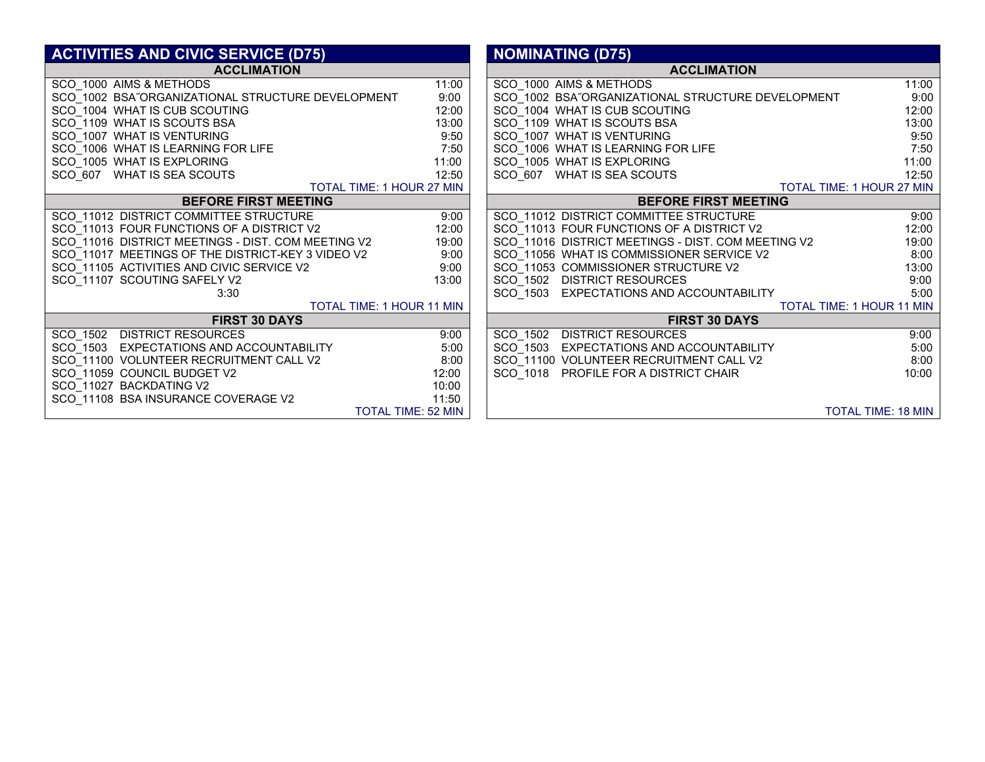| <b>ACTIVITIES AND CIVIC SERVICE (D75)</b>          |                           | <b>NOMINATING (D75)</b>                                     |
|----------------------------------------------------|---------------------------|-------------------------------------------------------------|
| <b>ACCLIMATION</b>                                 |                           | <b>ACCLIMATION</b>                                          |
| SCO_1000 AIMS & METHODS                            | 11:00                     | SCO_1000 AIMS & METHODS<br>11:00                            |
| SCO_1002 BSA"ORGANIZATIONAL STRUCTURE DEVELOPMENT  | 9:00                      | SCO_1002 BSA"ORGANIZATIONAL STRUCTURE DEVELOPMENT<br>9:00   |
| SCO_1004 WHAT IS CUB SCOUTING                      | 12:00                     | SCO_1004 WHAT IS CUB SCOUTING<br>12:00                      |
| SCO_1109 WHAT IS SCOUTS BSA                        | 13:00                     | SCO_1109 WHAT IS SCOUTS BSA<br>13:00                        |
| SCO_1007 WHAT IS VENTURING                         | 9:50                      | 9:50<br>SCO_1007 WHAT IS VENTURING                          |
| SCO_1006 WHAT IS LEARNING FOR LIFE                 | 7:50                      | SCO_1006 WHAT IS LEARNING FOR LIFE<br>7:50                  |
| SCO_1005 WHAT IS EXPLORING                         | 11:00                     | SCO_1005 WHAT IS EXPLORING<br>11:00                         |
| SCO_607 WHAT IS SEA SCOUTS                         | 12:50                     | SCO_607 WHAT IS SEA SCOUTS<br>12:50                         |
| <b>TOTAL TIME: 1 HOUR 27 MIN</b>                   |                           | TOTAL TIME: 1 HOUR 27 MIN                                   |
| <b>BEFORE FIRST MEETING</b>                        |                           | <b>BEFORE FIRST MEETING</b>                                 |
| SCO_11012 DISTRICT COMMITTEE STRUCTURE             | 9:00                      | SCO_11012 DISTRICT COMMITTEE STRUCTURE<br>9:00              |
| SCO_11013 FOUR FUNCTIONS OF A DISTRICT V2          | 12:00                     | SCO_11013 FOUR FUNCTIONS OF A DISTRICT V2<br>12:00          |
| SCO_11016 DISTRICT MEETINGS - DIST. COM MEETING V2 | 19:00                     | SCO_11016 DISTRICT MEETINGS - DIST. COM MEETING V2<br>19:00 |
| SCO_11017 MEETINGS OF THE DISTRICT-KEY 3 VIDEO V2  | 9:00                      | SCO_11056 WHAT IS COMMISSIONER SERVICE V2<br>8:00           |
| SCO_11105 ACTIVITIES AND CIVIC SERVICE V2          | 9:00                      | SCO_11053 COMMISSIONER STRUCTURE V2<br>13:00                |
| SCO_11107 SCOUTING SAFELY V2                       | 13:00                     | SCO 1502 DISTRICT RESOURCES<br>9:00                         |
| 3:30                                               |                           | 5:00<br>SCO 1503 EXPECTATIONS AND ACCOUNTABILITY            |
| <b>TOTAL TIME: 1 HOUR 11 MIN</b>                   |                           | <b>TOTAL TIME: 1 HOUR 11 MIN</b>                            |
| <b>FIRST 30 DAYS</b>                               |                           | <b>FIRST 30 DAYS</b>                                        |
| SCO 1502 DISTRICT RESOURCES                        | 9:00                      | SCO 1502 DISTRICT RESOURCES<br>9:00                         |
| SCO_1503 EXPECTATIONS AND ACCOUNTABILITY           | 5:00                      | SCO_1503 EXPECTATIONS AND ACCOUNTABILITY<br>5:00            |
| SCO_11100 VOLUNTEER RECRUITMENT CALL V2            | 8:00                      | SCO 11100 VOLUNTEER RECRUITMENT CALL V2<br>8:00             |
| SCO_11059 COUNCIL BUDGET V2                        | 12:00                     | SCO 1018 PROFILE FOR A DISTRICT CHAIR<br>10:00              |
| SCO 11027 BACKDATING V2                            | 10:00                     |                                                             |
| SCO_11108 BSA INSURANCE COVERAGE V2                | 11:50                     |                                                             |
|                                                    | <b>TOTAL TIME: 52 MIN</b> | <b>TOTAL TIME: 18 MIN</b>                                   |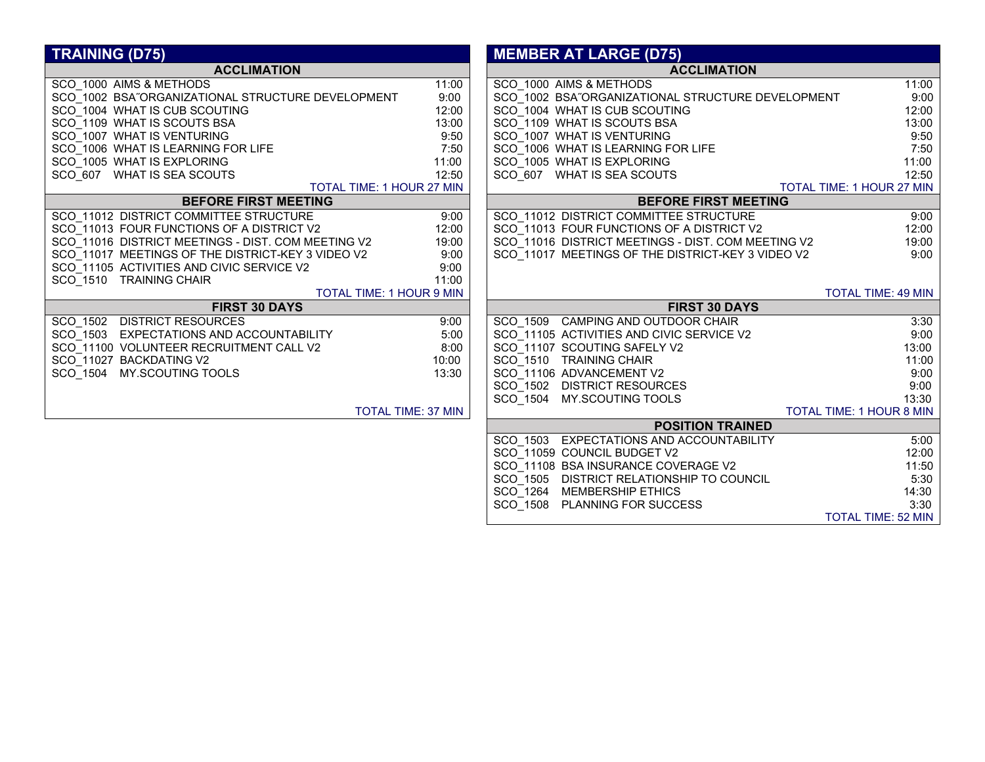| <b>TRAINING (D75)</b>                              |       | <b>MEMBER AT LARGE (D75)</b>                       |                           |
|----------------------------------------------------|-------|----------------------------------------------------|---------------------------|
| <b>ACCLIMATION</b>                                 |       | <b>ACCLIMATION</b>                                 |                           |
| SCO 1000 AIMS & METHODS                            | 11:00 | SCO 1000 AIMS & METHODS                            | 11:00                     |
| SCO 1002 BSA"ORGANIZATIONAL STRUCTURE DEVELOPMENT  | 9:00  | SCO 1002 BSA"ORGANIZATIONAL STRUCTURE DEVELOPMENT  | 9:00                      |
| SCO 1004 WHAT IS CUB SCOUTING                      | 12:00 | SCO 1004 WHAT IS CUB SCOUTING                      | 12:00                     |
| SCO 1109 WHAT IS SCOUTS BSA                        | 13:00 | SCO 1109 WHAT IS SCOUTS BSA                        | 13:00                     |
| SCO_1007 WHAT IS VENTURING                         | 9:50  | SCO 1007 WHAT IS VENTURING                         | 9:50                      |
| SCO_1006 WHAT IS LEARNING FOR LIFE                 | 7:50  | SCO_1006 WHAT IS LEARNING FOR LIFE                 | 7:50                      |
| SCO 1005 WHAT IS EXPLORING                         | 11:00 | SCO 1005 WHAT IS EXPLORING                         | 11:00                     |
| SCO 607 WHAT IS SEA SCOUTS                         | 12:50 | SCO 607 WHAT IS SEA SCOUTS                         | 12:50                     |
| TOTAL TIME: 1 HOUR 27 MIN                          |       |                                                    | TOTAL TIME: 1 HOUR 27 MIN |
| <b>BEFORE FIRST MEETING</b>                        |       | <b>BEFORE FIRST MEETING</b>                        |                           |
| SCO 11012 DISTRICT COMMITTEE STRUCTURE             | 9:00  | SCO 11012 DISTRICT COMMITTEE STRUCTURE             | 9:00                      |
| SCO_11013 FOUR FUNCTIONS OF A DISTRICT V2          | 12:00 | SCO_11013 FOUR FUNCTIONS OF A DISTRICT V2          | 12:00                     |
| SCO 11016 DISTRICT MEETINGS - DIST. COM MEETING V2 | 19:00 | SCO 11016 DISTRICT MEETINGS - DIST. COM MEETING V2 | 19:00                     |
| SCO_11017 MEETINGS OF THE DISTRICT-KEY 3 VIDEO V2  | 9:00  | SCO_11017 MEETINGS OF THE DISTRICT-KEY 3 VIDEO V2  | 9:00                      |
| SCO 11105 ACTIVITIES AND CIVIC SERVICE V2          | 9:00  |                                                    |                           |
| SCO 1510 TRAINING CHAIR                            | 11:00 |                                                    |                           |
| TOTAL TIME: 1 HOUR 9 MIN                           |       |                                                    | <b>TOTAL TIME: 49 MIN</b> |
| <b>FIRST 30 DAYS</b>                               |       | <b>FIRST 30 DAYS</b>                               |                           |
| SCO 1502 DISTRICT RESOURCES                        | 9:00  | SCO 1509 CAMPING AND OUTDOOR CHAIR                 | 3:30                      |
| SCO 1503 EXPECTATIONS AND ACCOUNTABILITY           | 5:00  | SCO 11105 ACTIVITIES AND CIVIC SERVICE V2          | 9:00                      |
| SCO 11100 VOLUNTEER RECRUITMENT CALL V2            | 8:00  | SCO 11107 SCOUTING SAFELY V2                       | 13:00                     |
| SCO 11027 BACKDATING V2                            | 10:00 | SCO 1510 TRAINING CHAIR                            | 11:00                     |
| SCO 1504 MY.SCOUTING TOOLS                         | 13:30 | SCO 11106 ADVANCEMENT V2                           | 9:00                      |
|                                                    |       | SCO 1502 DISTRICT RESOURCES                        | 9:00                      |
|                                                    |       | SCO 1504 MY.SCOUTING TOOLS                         | 13:30                     |
| TOTAL TIME: 37 MIN                                 |       |                                                    | TOTAL TIME: 1 HOUR 8 MIN  |
|                                                    |       | <b>POSITION TRAINED</b>                            |                           |
|                                                    |       | SCO 1503 EXPECTATIONS AND ACCOUNTABILITY           | 5:00                      |
|                                                    |       | SCO 11059 COUNCIL BUDGET V2                        | 12:00                     |
|                                                    |       | SCO 11108 BSA INSURANCE COVERAGE V2                | 11:50                     |
|                                                    |       | SCO 1505 DISTRICT RELATIONSHIP TO COUNCIL          | 5:30                      |
|                                                    |       | SCO 1264 MEMBERSHIP ETHICS                         | 14:30                     |
|                                                    |       | SCO 1508 PLANNING FOR SUCCESS                      | 3:30                      |

SCO\_1508 PLANNING FOR SUCCESS

TOTAL TIME: 52 MIN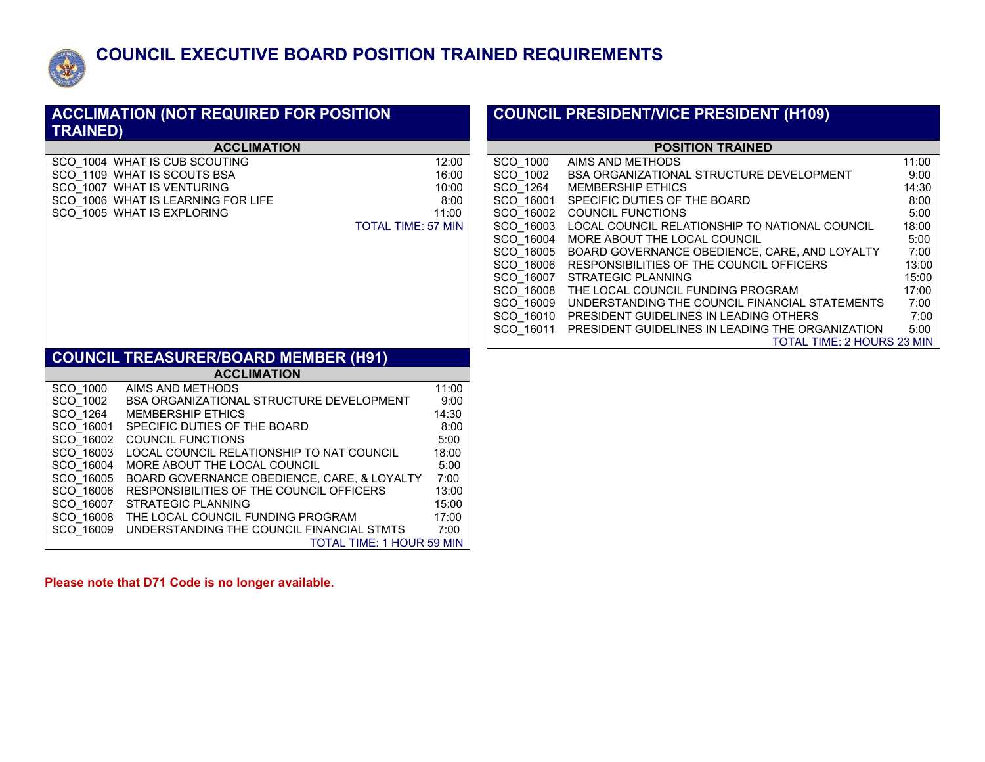

## **COUNCIL EXECUTIVE BOARD POSITION TRAINED REQUIREMENTS**

| <b>ACCLIMATION (NOT REQUIRED FOR POSITION</b><br><b>TRAINED)</b>                                                                                                                                                                                                                                                                                                                                                                                                                                                                                                                                           | <b>COUNCIL PRESIDENT/VICE PRESIDENT (H109)</b>                                                                                                                                                                                                                                                                                                                                                                                                                                                                                                                                                                                                                                                                                                                                                                                                                                             |
|------------------------------------------------------------------------------------------------------------------------------------------------------------------------------------------------------------------------------------------------------------------------------------------------------------------------------------------------------------------------------------------------------------------------------------------------------------------------------------------------------------------------------------------------------------------------------------------------------------|--------------------------------------------------------------------------------------------------------------------------------------------------------------------------------------------------------------------------------------------------------------------------------------------------------------------------------------------------------------------------------------------------------------------------------------------------------------------------------------------------------------------------------------------------------------------------------------------------------------------------------------------------------------------------------------------------------------------------------------------------------------------------------------------------------------------------------------------------------------------------------------------|
| <b>ACCLIMATION</b>                                                                                                                                                                                                                                                                                                                                                                                                                                                                                                                                                                                         | <b>POSITION TRAINED</b>                                                                                                                                                                                                                                                                                                                                                                                                                                                                                                                                                                                                                                                                                                                                                                                                                                                                    |
| SCO 1004 WHAT IS CUB SCOUTING<br>SCO 1109 WHAT IS SCOUTS BSA<br>SCO 1007 WHAT IS VENTURING<br>SCO_1006 WHAT IS LEARNING FOR LIFE<br>SCO 1005 WHAT IS EXPLORING<br>11:00<br><b>TOTAL TIME: 57 MIN</b>                                                                                                                                                                                                                                                                                                                                                                                                       | SCO 1000<br>AIMS AND METHODS<br>11:00<br>12:00<br>SCO 1002<br>9:00<br>16:00<br><b>BSA ORGANIZATIONAL STRUCTURE DEVELOPMENT</b><br>SCO 1264<br>14:30<br>10:00<br><b>MEMBERSHIP ETHICS</b><br>SCO 16001<br>8:00<br>8:00<br>SPECIFIC DUTIES OF THE BOARD<br>SCO 16002 COUNCIL FUNCTIONS<br>5:00<br>SCO_16003 LOCAL COUNCIL RELATIONSHIP TO NATIONAL COUNCIL<br>18:00<br>SCO 16004 MORE ABOUT THE LOCAL COUNCIL<br>5:00<br>SCO 16005 BOARD GOVERNANCE OBEDIENCE, CARE, AND LOYALTY<br>7:00<br>SCO 16006 RESPONSIBILITIES OF THE COUNCIL OFFICERS<br>13:00<br>SCO 16007 STRATEGIC PLANNING<br>15:00<br>SCO 16008 THE LOCAL COUNCIL FUNDING PROGRAM<br>17:00<br>SCO 16009 UNDERSTANDING THE COUNCIL FINANCIAL STATEMENTS<br>7:00<br>SCO 16010 PRESIDENT GUIDELINES IN LEADING OTHERS<br>7:00<br>SCO 16011 PRESIDENT GUIDELINES IN LEADING THE ORGANIZATION<br>5:00<br>TOTAL TIME: 2 HOURS 23 MIN |
| <b>COUNCIL TREASURER/BOARD MEMBER (H91)</b>                                                                                                                                                                                                                                                                                                                                                                                                                                                                                                                                                                |                                                                                                                                                                                                                                                                                                                                                                                                                                                                                                                                                                                                                                                                                                                                                                                                                                                                                            |
| <b>ACCLIMATION</b>                                                                                                                                                                                                                                                                                                                                                                                                                                                                                                                                                                                         |                                                                                                                                                                                                                                                                                                                                                                                                                                                                                                                                                                                                                                                                                                                                                                                                                                                                                            |
| AIMS AND METHODS<br>SCO 1000<br>SCO 1002<br>BSA ORGANIZATIONAL STRUCTURE DEVELOPMENT<br>SCO 1264<br><b>MEMBERSHIP ETHICS</b><br>SCO 16001 SPECIFIC DUTIES OF THE BOARD<br>SCO 16002 COUNCIL FUNCTIONS<br>SCO 16003 LOCAL COUNCIL RELATIONSHIP TO NAT COUNCIL<br>18:00<br>SCO 16004 MORE ABOUT THE LOCAL COUNCIL<br>SCO 16005 BOARD GOVERNANCE OBEDIENCE, CARE, & LOYALTY<br>SCO 16006 RESPONSIBILITIES OF THE COUNCIL OFFICERS<br>SCO 16007 STRATEGIC PLANNING<br>SCO 16008 THE LOCAL COUNCIL FUNDING PROGRAM<br>17:00<br>SCO 16009 UNDERSTANDING THE COUNCIL FINANCIAL STMTS<br>TOTAL TIME: 1 HOUR 59 MIN | 11:00<br>9:00<br>14:30<br>8:00<br>5:00<br>5:00<br>7:00<br>13:00<br>15:00<br>7:00                                                                                                                                                                                                                                                                                                                                                                                                                                                                                                                                                                                                                                                                                                                                                                                                           |

**Please note that D71 Code is no longer available.**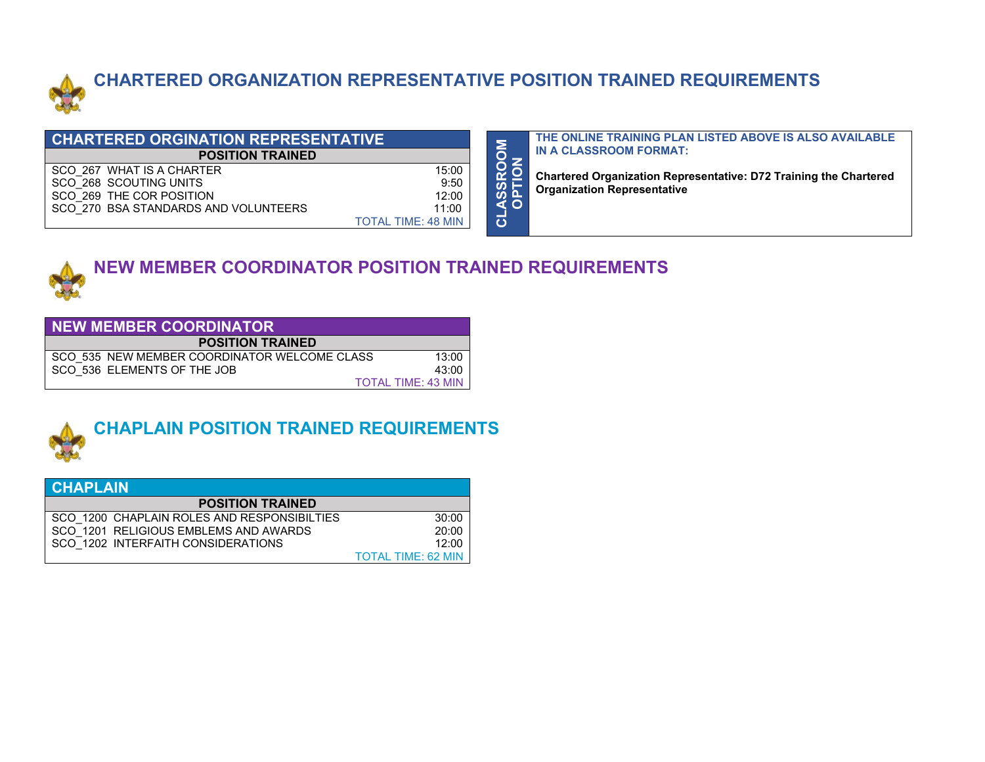

# **CHARTERED ORGANIZATION REPRESENTATIVE POSITION TRAINED REQUIREMENTS**

**CLASSROOM** 

| <b>CHARTERED ORGINATION REPRESENTATIVE</b> |                           |  |  |
|--------------------------------------------|---------------------------|--|--|
| <b>POSITION TRAINED</b>                    |                           |  |  |
| SCO 267 WHAT IS A CHARTER                  | 15:00                     |  |  |
| SCO 268 SCOUTING UNITS                     | 9:50                      |  |  |
| SCO 269 THE COR POSITION                   | 12:00                     |  |  |
| SCO 270 BSA STANDARDS AND VOLUNTEERS       | 11:00                     |  |  |
|                                            | <b>TOTAL TIME: 48 MIN</b> |  |  |

**THE ONLINE TRAINING PLAN LISTED ABOVE IS ALSO AVAILABLE IN A CLASSROOM FORMAT:**

**OPTION Chartered Organization Representative: D72 Training the Chartered Organization Representative**



# **NEW MEMBER COORDINATOR POSITION TRAINED REQUIREMENTS**

| NEW MEMBER COORDINATOR                       |       |  |  |  |
|----------------------------------------------|-------|--|--|--|
| <b>POSITION TRAINED</b>                      |       |  |  |  |
| SCO 535 NEW MEMBER COORDINATOR WELCOME CLASS | 13:00 |  |  |  |
| SCO 536 ELEMENTS OF THE JOB                  | 43:00 |  |  |  |
| <b>TOTAL TIME: 43 MIN</b>                    |       |  |  |  |



# **CHAPLAIN POSITION TRAINED REQUIREMENTS**

| <b>CHAPLAIN</b>                             |                           |  |  |
|---------------------------------------------|---------------------------|--|--|
| <b>POSITION TRAINED</b>                     |                           |  |  |
| SCO 1200 CHAPLAIN ROLES AND RESPONSIBILTIES | 30:00                     |  |  |
| SCO 1201 RELIGIOUS EMBLEMS AND AWARDS       | 20:00                     |  |  |
| SCO 1202 INTERFAITH CONSIDERATIONS          | 12:00                     |  |  |
|                                             | <b>TOTAL TIME: 62 MIN</b> |  |  |